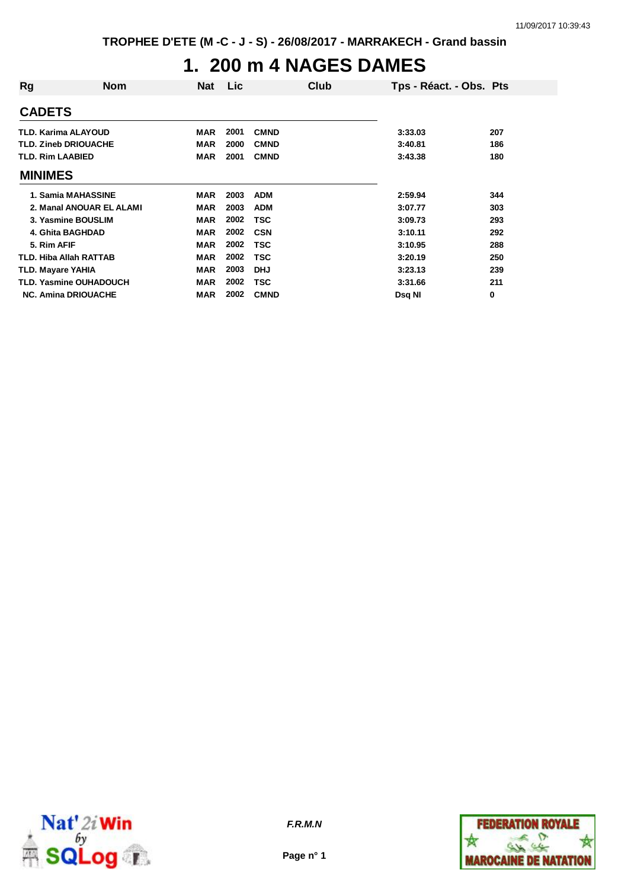### **1. 200 m 4 NAGES DAMES**

| Rg             | Nom                           | <b>Nat</b> | Lic  | Club        | Tps - Réact. - Obs. Pts |     |
|----------------|-------------------------------|------------|------|-------------|-------------------------|-----|
| <b>CADETS</b>  |                               |            |      |             |                         |     |
|                | <b>TLD. Karima ALAYOUD</b>    | <b>MAR</b> | 2001 | <b>CMND</b> | 3:33.03                 | 207 |
|                | <b>TLD. Zineb DRIOUACHE</b>   | <b>MAR</b> | 2000 | <b>CMND</b> | 3:40.81                 | 186 |
|                | <b>TLD. Rim LAABIED</b>       | <b>MAR</b> | 2001 | <b>CMND</b> | 3:43.38                 | 180 |
| <b>MINIMES</b> |                               |            |      |             |                         |     |
|                | 1. Samia MAHASSINE            | <b>MAR</b> | 2003 | <b>ADM</b>  | 2:59.94                 | 344 |
|                | 2. Manal ANOUAR EL ALAMI      | <b>MAR</b> | 2003 | <b>ADM</b>  | 3:07.77                 | 303 |
|                | 3. Yasmine BOUSLIM            | <b>MAR</b> | 2002 | TSC         | 3:09.73                 | 293 |
|                | 4. Ghita BAGHDAD              | <b>MAR</b> | 2002 | <b>CSN</b>  | 3:10.11                 | 292 |
| 5. Rim AFIF    |                               | <b>MAR</b> | 2002 | TSC         | 3:10.95                 | 288 |
|                | <b>TLD. Hiba Allah RATTAB</b> | <b>MAR</b> | 2002 | TSC         | 3:20.19                 | 250 |
|                | <b>TLD. Mayare YAHIA</b>      | <b>MAR</b> | 2003 | <b>DHJ</b>  | 3:23.13                 | 239 |
|                | <b>TLD. Yasmine OUHADOUCH</b> | <b>MAR</b> | 2002 | TSC         | 3:31.66                 | 211 |
|                | <b>NC. Amina DRIOUACHE</b>    | <b>MAR</b> | 2002 | <b>CMND</b> | Dsg NI                  | 0   |



**Page n° 1**

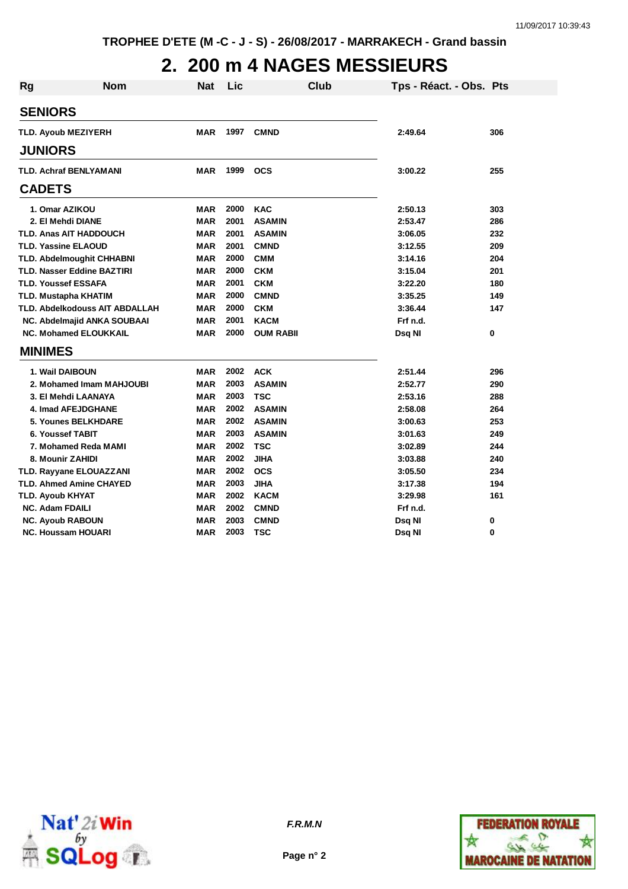# **2. 200 m 4 NAGES MESSIEURS**

| <b>Rg</b>      | <b>Nom</b>                         | <b>Nat</b> | Lic  | <b>Club</b>      | Tps - Réact. - Obs. Pts |     |
|----------------|------------------------------------|------------|------|------------------|-------------------------|-----|
| <b>SENIORS</b> |                                    |            |      |                  |                         |     |
|                | <b>TLD. Ayoub MEZIYERH</b>         | <b>MAR</b> | 1997 | <b>CMND</b>      | 2:49.64                 | 306 |
|                |                                    |            |      |                  |                         |     |
| <b>JUNIORS</b> |                                    |            |      |                  |                         |     |
|                | <b>TLD. Achraf BENLYAMANI</b>      | <b>MAR</b> | 1999 | <b>OCS</b>       | 3:00.22                 | 255 |
| <b>CADETS</b>  |                                    |            |      |                  |                         |     |
|                | 1. Omar AZIKOU                     | <b>MAR</b> | 2000 | <b>KAC</b>       | 2:50.13                 | 303 |
|                | 2. El Mehdi DIANE                  | <b>MAR</b> | 2001 | <b>ASAMIN</b>    | 2:53.47                 | 286 |
|                | <b>TLD. Anas AIT HADDOUCH</b>      | <b>MAR</b> | 2001 | <b>ASAMIN</b>    | 3:06.05                 | 232 |
|                | <b>TLD. Yassine ELAOUD</b>         | <b>MAR</b> | 2001 | <b>CMND</b>      | 3:12.55                 | 209 |
|                | <b>TLD. Abdelmoughit CHHABNI</b>   | <b>MAR</b> | 2000 | <b>CMM</b>       | 3:14.16                 | 204 |
|                | <b>TLD. Nasser Eddine BAZTIRI</b>  | <b>MAR</b> | 2000 | <b>CKM</b>       | 3:15.04                 | 201 |
|                | <b>TLD. Youssef ESSAFA</b>         | <b>MAR</b> | 2001 | <b>CKM</b>       | 3:22.20                 | 180 |
|                | <b>TLD. Mustapha KHATIM</b>        | <b>MAR</b> | 2000 | <b>CMND</b>      | 3:35.25                 | 149 |
|                | TLD. Abdelkodouss AIT ABDALLAH     | <b>MAR</b> | 2000 | <b>CKM</b>       | 3:36.44                 | 147 |
|                | <b>NC. Abdelmajid ANKA SOUBAAI</b> | <b>MAR</b> | 2001 | <b>KACM</b>      | Frf n.d.                |     |
|                | <b>NC. Mohamed ELOUKKAIL</b>       | <b>MAR</b> | 2000 | <b>OUM RABII</b> | Dsq NI                  | 0   |
| <b>MINIMES</b> |                                    |            |      |                  |                         |     |
|                | 1. Wail DAIBOUN                    | <b>MAR</b> | 2002 | <b>ACK</b>       | 2:51.44                 | 296 |
|                | 2. Mohamed Imam MAHJOUBI           | <b>MAR</b> | 2003 | <b>ASAMIN</b>    | 2:52.77                 | 290 |
|                | 3. El Mehdi LAANAYA                | <b>MAR</b> | 2003 | <b>TSC</b>       | 2:53.16                 | 288 |
|                | 4. Imad AFEJDGHANE                 | <b>MAR</b> | 2002 | <b>ASAMIN</b>    | 2:58.08                 | 264 |
|                | 5. Younes BELKHDARE                | <b>MAR</b> | 2002 | <b>ASAMIN</b>    | 3:00.63                 | 253 |
|                | 6. Youssef TABIT                   | <b>MAR</b> | 2003 | <b>ASAMIN</b>    | 3:01.63                 | 249 |
|                | 7. Mohamed Reda MAMI               | <b>MAR</b> | 2002 | <b>TSC</b>       | 3:02.89                 | 244 |
|                | 8. Mounir ZAHIDI                   | <b>MAR</b> | 2002 | <b>JIHA</b>      | 3:03.88                 | 240 |
|                | TLD. Rayyane ELOUAZZANI            | <b>MAR</b> | 2002 | <b>OCS</b>       | 3:05.50                 | 234 |
|                | <b>TLD. Ahmed Amine CHAYED</b>     | <b>MAR</b> | 2003 | <b>JIHA</b>      | 3:17.38                 | 194 |
|                | TLD. Ayoub KHYAT                   | <b>MAR</b> | 2002 | <b>KACM</b>      | 3:29.98                 | 161 |
|                | <b>NC. Adam FDAILI</b>             | <b>MAR</b> | 2002 | <b>CMND</b>      | Frf n.d.                |     |
|                | <b>NC. Ayoub RABOUN</b>            | <b>MAR</b> | 2003 | <b>CMND</b>      | Dsq NI                  | 0   |
|                | <b>NC. Houssam HOUARI</b>          | <b>MAR</b> | 2003 | TSC              | Dsq NI                  | 0   |



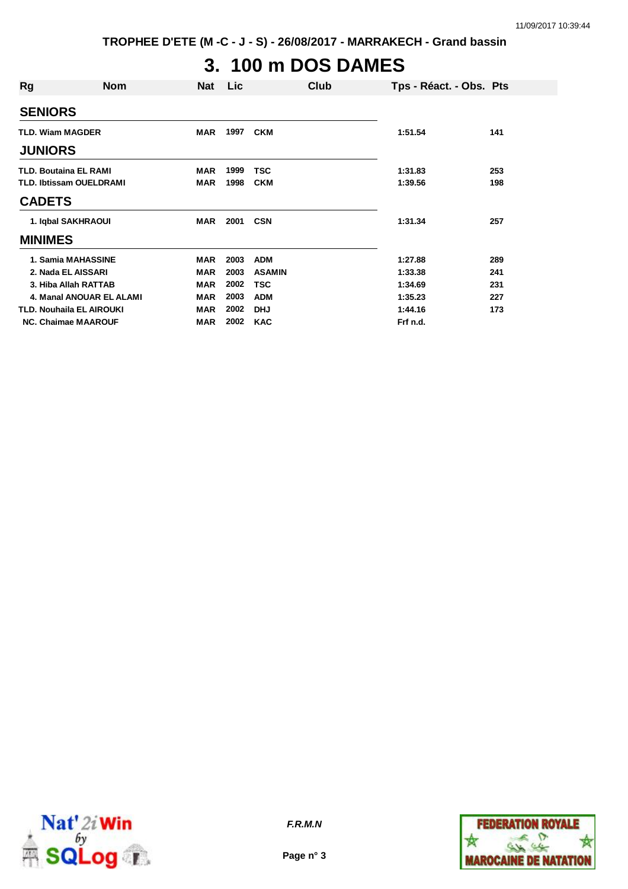**TROPHEE D'ETE (M -C - J - S) - 26/08/2017 - MARRAKECH - Grand bassin**

# **3. 100 m DOS DAMES**

| Rg                              | <b>Nom</b>               | <b>Nat</b> | Lic  |               | Club | Tps - Réact. - Obs. Pts |     |
|---------------------------------|--------------------------|------------|------|---------------|------|-------------------------|-----|
| <b>SENIORS</b>                  |                          |            |      |               |      |                         |     |
| <b>TLD. Wiam MAGDER</b>         |                          | <b>MAR</b> | 1997 | <b>CKM</b>    |      | 1:51.54                 | 141 |
| <b>JUNIORS</b>                  |                          |            |      |               |      |                         |     |
| <b>TLD. Boutaina EL RAMI</b>    |                          | <b>MAR</b> | 1999 | <b>TSC</b>    |      | 1:31.83                 | 253 |
| <b>TLD. Ibtissam OUELDRAMI</b>  |                          | <b>MAR</b> | 1998 | <b>CKM</b>    |      | 1:39.56                 | 198 |
| <b>CADETS</b>                   |                          |            |      |               |      |                         |     |
| 1. Igbal SAKHRAOUI              |                          | MAR        | 2001 | <b>CSN</b>    |      | 1:31.34                 | 257 |
| <b>MINIMES</b>                  |                          |            |      |               |      |                         |     |
| 1. Samia MAHASSINE              |                          | <b>MAR</b> | 2003 | <b>ADM</b>    |      | 1:27.88                 | 289 |
| 2. Nada EL AISSARI              |                          | <b>MAR</b> | 2003 | <b>ASAMIN</b> |      | 1:33.38                 | 241 |
| 3. Hiba Allah RATTAB            |                          | <b>MAR</b> | 2002 | <b>TSC</b>    |      | 1:34.69                 | 231 |
|                                 | 4. Manal ANOUAR EL ALAMI | <b>MAR</b> | 2003 | <b>ADM</b>    |      | 1:35.23                 | 227 |
| <b>TLD. Nouhaila EL AIROUKI</b> |                          | <b>MAR</b> | 2002 | <b>DHJ</b>    |      | 1:44.16                 | 173 |
| <b>NC. Chaimae MAAROUF</b>      |                          | <b>MAR</b> | 2002 | <b>KAC</b>    |      | Frf n.d.                |     |



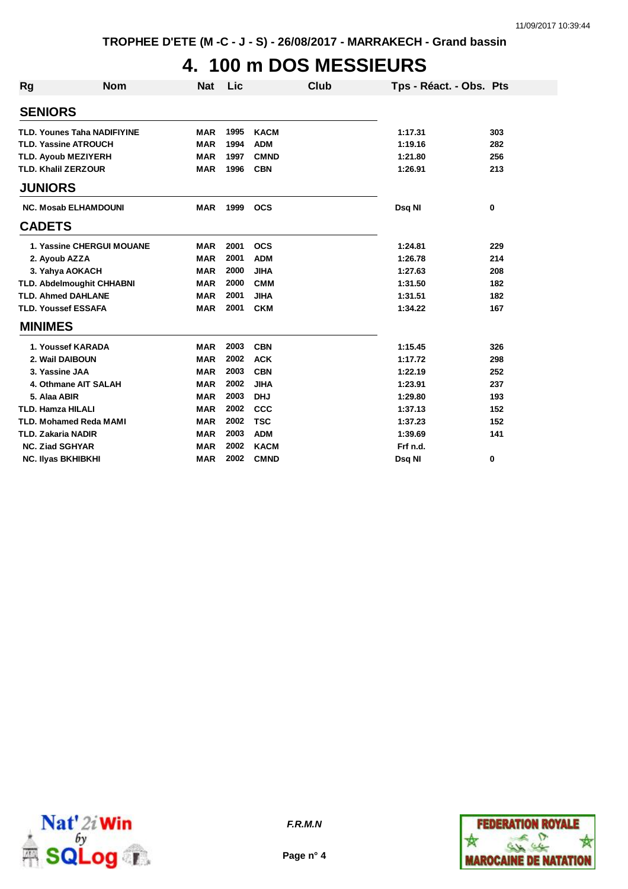# **4. 100 m DOS MESSIEURS**

| Rg                        | <b>Nom</b>                         | <b>Nat</b> | Lic  | <b>Club</b> | Tps - Réact. - Obs. Pts |     |
|---------------------------|------------------------------------|------------|------|-------------|-------------------------|-----|
| <b>SENIORS</b>            |                                    |            |      |             |                         |     |
|                           | <b>TLD. Younes Taha NADIFIYINE</b> | <b>MAR</b> | 1995 | <b>KACM</b> | 1:17.31                 | 303 |
|                           | <b>TLD. Yassine ATROUCH</b>        | <b>MAR</b> | 1994 | <b>ADM</b>  | 1:19.16                 | 282 |
|                           | <b>TLD. Ayoub MEZIYERH</b>         | <b>MAR</b> | 1997 | <b>CMND</b> | 1:21.80                 | 256 |
|                           | <b>TLD. Khalil ZERZOUR</b>         | <b>MAR</b> | 1996 | <b>CBN</b>  | 1:26.91                 | 213 |
| <b>JUNIORS</b>            |                                    |            |      |             |                         |     |
|                           | <b>NC. Mosab ELHAMDOUNI</b>        | <b>MAR</b> | 1999 | <b>OCS</b>  | Dsq NI                  | 0   |
| <b>CADETS</b>             |                                    |            |      |             |                         |     |
|                           | <b>1. Yassine CHERGUI MOUANE</b>   | <b>MAR</b> | 2001 | <b>OCS</b>  | 1:24.81                 | 229 |
|                           | 2. Ayoub AZZA                      | <b>MAR</b> | 2001 | <b>ADM</b>  | 1:26.78                 | 214 |
|                           | 3. Yahya AOKACH                    | <b>MAR</b> | 2000 | <b>JIHA</b> | 1:27.63                 | 208 |
|                           | <b>TLD. Abdelmoughit CHHABNI</b>   | <b>MAR</b> | 2000 | <b>CMM</b>  | 1:31.50                 | 182 |
|                           | <b>TLD. Ahmed DAHLANE</b>          | <b>MAR</b> | 2001 | <b>JIHA</b> | 1:31.51                 | 182 |
|                           | <b>TLD. Youssef ESSAFA</b>         | <b>MAR</b> | 2001 | <b>CKM</b>  | 1:34.22                 | 167 |
| <b>MINIMES</b>            |                                    |            |      |             |                         |     |
|                           | 1. Youssef KARADA                  | <b>MAR</b> | 2003 | <b>CBN</b>  | 1:15.45                 | 326 |
|                           | 2. Wail DAIBOUN                    | <b>MAR</b> | 2002 | <b>ACK</b>  | 1:17.72                 | 298 |
|                           | 3. Yassine JAA                     | <b>MAR</b> | 2003 | <b>CBN</b>  | 1:22.19                 | 252 |
|                           | 4. Othmane AIT SALAH               | <b>MAR</b> | 2002 | <b>JIHA</b> | 1:23.91                 | 237 |
| 5. Alaa ABIR              |                                    | <b>MAR</b> | 2003 | <b>DHJ</b>  | 1:29.80                 | 193 |
| <b>TLD. Hamza HILALI</b>  |                                    | <b>MAR</b> | 2002 | <b>CCC</b>  | 1:37.13                 | 152 |
|                           | <b>TLD. Mohamed Reda MAMI</b>      | <b>MAR</b> | 2002 | <b>TSC</b>  | 1:37.23                 | 152 |
| <b>TLD. Zakaria NADIR</b> |                                    | <b>MAR</b> | 2003 | <b>ADM</b>  | 1:39.69                 | 141 |
| <b>NC. Ziad SGHYAR</b>    |                                    | <b>MAR</b> | 2002 | <b>KACM</b> | Frf n.d.                |     |
|                           | <b>NC. Ilyas BKHIBKHI</b>          | <b>MAR</b> | 2002 | <b>CMND</b> | Dsq NI                  | 0   |



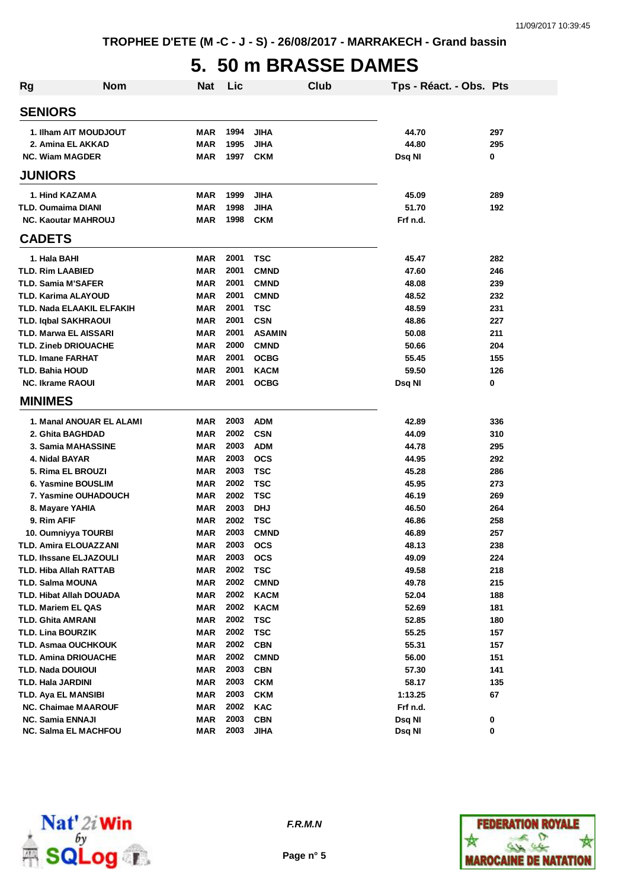## **5. 50 m BRASSE DAMES**

| <b>Rg</b> | <b>Nom</b>                                  | <b>Nat</b> | Lic          |                            | Club | Tps - Réact. - Obs. Pts |            |
|-----------|---------------------------------------------|------------|--------------|----------------------------|------|-------------------------|------------|
|           | <b>SENIORS</b>                              |            |              |                            |      |                         |            |
|           | 1. Ilham AIT MOUDJOUT                       | <b>MAR</b> | 1994         | <b>JIHA</b>                |      | 44.70                   | 297        |
|           | 2. Amina EL AKKAD                           | <b>MAR</b> | 1995         | <b>JIHA</b>                |      | 44.80                   | 295        |
|           | <b>NC. Wiam MAGDER</b>                      | <b>MAR</b> | 1997         | <b>CKM</b>                 |      | Dsq NI                  | 0          |
|           | <b>JUNIORS</b>                              |            |              |                            |      |                         |            |
|           | 1. Hind KAZAMA                              | <b>MAR</b> | 1999         | <b>JIHA</b>                |      | 45.09                   | 289        |
|           | TLD. Oumaima DIANI                          | <b>MAR</b> | 1998         | <b>JIHA</b>                |      | 51.70                   | 192        |
|           | <b>NC. Kaoutar MAHROUJ</b>                  | <b>MAR</b> | 1998         | <b>CKM</b>                 |      | Frf n.d.                |            |
|           | <b>CADETS</b>                               |            |              |                            |      |                         |            |
|           | 1. Hala BAHI                                | <b>MAR</b> | 2001         | <b>TSC</b>                 |      | 45.47                   | 282        |
|           | <b>TLD. Rim LAABIED</b>                     | <b>MAR</b> | 2001         | <b>CMND</b>                |      | 47.60                   | 246        |
|           | <b>TLD. Samia M'SAFER</b>                   | <b>MAR</b> | 2001         | <b>CMND</b>                |      | 48.08                   | 239        |
|           | <b>TLD. Karima ALAYOUD</b>                  | <b>MAR</b> | 2001         | <b>CMND</b>                |      | 48.52                   | 232        |
|           | TLD. Nada ELAAKIL ELFAKIH                   | <b>MAR</b> | 2001         | <b>TSC</b>                 |      | 48.59                   | 231        |
|           | <b>TLD. Iqbal SAKHRAOUI</b>                 | <b>MAR</b> | 2001         | <b>CSN</b>                 |      | 48.86                   | 227        |
|           | <b>TLD. Marwa EL AISSARI</b>                | <b>MAR</b> | 2001         | <b>ASAMIN</b>              |      | 50.08                   | 211        |
|           | <b>TLD. Zineb DRIOUACHE</b>                 | <b>MAR</b> | 2000         | <b>CMND</b>                |      | 50.66                   | 204        |
|           | <b>TLD. Imane FARHAT</b>                    | <b>MAR</b> | 2001         | <b>OCBG</b>                |      | 55.45                   | 155        |
|           | <b>TLD. Bahia HOUD</b>                      | <b>MAR</b> | 2001         | <b>KACM</b>                |      | 59.50                   | 126        |
|           | <b>NC. Ikrame RAOUI</b>                     | MAR        | 2001         | <b>OCBG</b>                |      | Dsq NI                  | 0          |
|           | <b>MINIMES</b>                              |            |              |                            |      |                         |            |
|           | 1. Manal ANOUAR EL ALAMI                    | <b>MAR</b> | 2003         | <b>ADM</b>                 |      | 42.89                   | 336        |
|           | 2. Ghita BAGHDAD                            | <b>MAR</b> | 2002         | <b>CSN</b>                 |      | 44.09                   | 310        |
|           | 3. Samia MAHASSINE                          | <b>MAR</b> | 2003         | <b>ADM</b>                 |      | 44.78                   | 295        |
|           | 4. Nidal BAYAR                              | MAR        | 2003         | <b>OCS</b>                 |      | 44.95                   | 292        |
|           | 5. Rima EL BROUZI                           | <b>MAR</b> | 2003         | <b>TSC</b>                 |      | 45.28                   | 286        |
|           | 6. Yasmine BOUSLIM                          | <b>MAR</b> | 2002         | <b>TSC</b>                 |      | 45.95                   | 273        |
|           | 7. Yasmine OUHADOUCH                        | <b>MAR</b> | 2002         | <b>TSC</b>                 |      | 46.19                   | 269        |
|           | 8. Mayare YAHIA                             | <b>MAR</b> | 2003         | <b>DHJ</b>                 |      | 46.50                   | 264        |
|           | 9. Rim AFIF                                 | MAR        | 2002         | <b>TSC</b>                 |      | 46.86                   | 258        |
|           | 10. Oumniyya TOURBI                         | <b>MAR</b> | 2003         | <b>CMND</b>                |      | 46.89                   | 257        |
|           | TLD. Amira ELOUAZZANI                       | MAR        | 2003         | <b>OCS</b>                 |      | 48.13                   | 238        |
|           | TLD. Ihssane ELJAZOULI                      | MAR        | 2003<br>2002 | <b>OCS</b>                 |      | 49.09                   | 224        |
|           | TLD. Hiba Allah RATTAB                      | MAR        | 2002         | <b>TSC</b>                 |      | 49.58<br>49.78          | 218<br>215 |
|           | TLD. Salma MOUNA<br>TLD. Hibat Allah DOUADA | MAR<br>MAR | 2002         | <b>CMND</b><br><b>KACM</b> |      | 52.04                   | 188        |
|           | TLD. Mariem EL QAS                          | MAR        | 2002         | <b>KACM</b>                |      | 52.69                   | 181        |
|           | TLD. Ghita AMRANI                           | MAR        | 2002         | TSC                        |      | 52.85                   | 180        |
|           | <b>TLD. Lina BOURZIK</b>                    | <b>MAR</b> | 2002         | <b>TSC</b>                 |      | 55.25                   | 157        |
|           | <b>TLD. Asmaa OUCHKOUK</b>                  | <b>MAR</b> | 2002         | <b>CBN</b>                 |      | 55.31                   | 157        |
|           | <b>TLD. Amina DRIOUACHE</b>                 | <b>MAR</b> | 2002         | <b>CMND</b>                |      | 56.00                   | 151        |
|           | TLD. Nada DOUIOUI                           | <b>MAR</b> | 2003         | <b>CBN</b>                 |      | 57.30                   | 141        |
|           | TLD. Hala JARDINI                           | MAR        | 2003         | <b>CKM</b>                 |      | 58.17                   | 135        |
|           | TLD. Aya EL MANSIBI                         | MAR        | 2003         | <b>CKM</b>                 |      | 1:13.25                 | 67         |
|           | <b>NC. Chaimae MAAROUF</b>                  | MAR        | 2002         | KAC                        |      | Frf n.d.                |            |
|           | <b>NC. Samia ENNAJI</b>                     | MAR        | 2003         | <b>CBN</b>                 |      | Dsq NI                  | 0          |
|           | <b>NC. Salma EL MACHFOU</b>                 | MAR        | 2003         | <b>JIHA</b>                |      | Dsq NI                  | 0          |



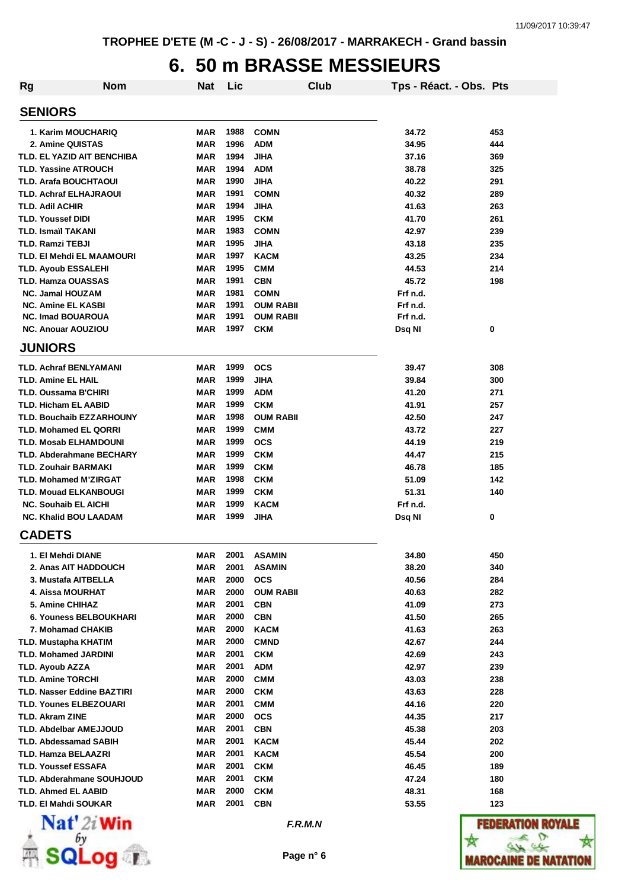## **6. 50 m BRASSE MESSIEURS**

| Rg                                | <b>Nom</b> | <b>Nat</b> | Lic  |                  | Club | Tps - Réact. - Obs. Pts |     |
|-----------------------------------|------------|------------|------|------------------|------|-------------------------|-----|
| <b>SENIORS</b>                    |            |            |      |                  |      |                         |     |
| 1. Karim MOUCHARIQ                |            | <b>MAR</b> | 1988 | <b>COMN</b>      |      | 34.72                   | 453 |
| 2. Amine QUISTAS                  |            | <b>MAR</b> | 1996 | <b>ADM</b>       |      | 34.95                   | 444 |
| TLD. EL YAZID AIT BENCHIBA        |            | <b>MAR</b> | 1994 | <b>JIHA</b>      |      | 37.16                   | 369 |
| <b>TLD. Yassine ATROUCH</b>       |            | <b>MAR</b> | 1994 | <b>ADM</b>       |      | 38.78                   | 325 |
| <b>TLD. Arafa BOUCHTAOUI</b>      |            | MAR        | 1990 | <b>JIHA</b>      |      | 40.22                   | 291 |
| <b>TLD. Achraf ELHAJRAOUI</b>     |            | MAR        | 1991 | <b>COMN</b>      |      | 40.32                   | 289 |
| <b>TLD. Adil ACHIR</b>            |            | <b>MAR</b> | 1994 | <b>JIHA</b>      |      | 41.63                   | 263 |
| <b>TLD. Youssef DIDI</b>          |            | <b>MAR</b> | 1995 | <b>CKM</b>       |      | 41.70                   | 261 |
| <b>TLD. Ismaïl TAKANI</b>         |            | MAR        | 1983 | <b>COMN</b>      |      | 42.97                   | 239 |
| <b>TLD. Ramzi TEBJI</b>           |            | MAR        | 1995 | <b>JIHA</b>      |      | 43.18                   | 235 |
| <b>TLD. EI Mehdi EL MAAMOURI</b>  |            | MAR        | 1997 | <b>KACM</b>      |      | 43.25                   | 234 |
| <b>TLD. Ayoub ESSALEHI</b>        |            | <b>MAR</b> | 1995 | <b>CMM</b>       |      | 44.53                   | 214 |
| TLD. Hamza OUASSAS                |            | <b>MAR</b> | 1991 | <b>CBN</b>       |      | 45.72                   | 198 |
| <b>NC. Jamal HOUZAM</b>           |            | <b>MAR</b> | 1981 | <b>COMN</b>      |      | Frf n.d.                |     |
| <b>NC. Amine EL KASBI</b>         |            | <b>MAR</b> | 1991 | <b>OUM RABII</b> |      | Frf n.d.                |     |
| <b>NC. Imad BOUAROUA</b>          |            | <b>MAR</b> | 1991 | <b>OUM RABII</b> |      | Frf n.d.                |     |
| <b>NC. Anouar AOUZIOU</b>         |            | <b>MAR</b> | 1997 | <b>CKM</b>       |      | Dsq NI                  | 0   |
| <b>JUNIORS</b>                    |            |            |      |                  |      |                         |     |
| <b>TLD. Achraf BENLYAMANI</b>     |            | MAR        | 1999 | <b>OCS</b>       |      | 39.47                   | 308 |
| <b>TLD. Amine EL HAIL</b>         |            | MAR        | 1999 | <b>JIHA</b>      |      | 39.84                   | 300 |
| TLD. Oussama B'CHIRI              |            | <b>MAR</b> | 1999 | <b>ADM</b>       |      | 41.20                   | 271 |
| <b>TLD. Hicham EL AABID</b>       |            | <b>MAR</b> | 1999 | <b>CKM</b>       |      | 41.91                   | 257 |
| <b>TLD. Bouchaib EZZARHOUNY</b>   |            | MAR        | 1998 | <b>OUM RABII</b> |      | 42.50                   | 247 |
| <b>TLD. Mohamed EL QORRI</b>      |            | <b>MAR</b> | 1999 | <b>CMM</b>       |      | 43.72                   | 227 |
| <b>TLD. Mosab ELHAMDOUNI</b>      |            | <b>MAR</b> | 1999 | <b>OCS</b>       |      | 44.19                   | 219 |
| <b>TLD. Abderahmane BECHARY</b>   |            | MAR        | 1999 | <b>CKM</b>       |      | 44.47                   | 215 |
| <b>TLD. Zouhair BARMAKI</b>       |            | MAR        | 1999 | <b>CKM</b>       |      | 46.78                   | 185 |
| <b>TLD. Mohamed M'ZIRGAT</b>      |            | MAR        | 1998 | <b>CKM</b>       |      | 51.09                   | 142 |
| <b>TLD. Mouad ELKANBOUGI</b>      |            | MAR        | 1999 | <b>CKM</b>       |      | 51.31                   | 140 |
| <b>NC. Souhaib EL AICHI</b>       |            | MAR        | 1999 | <b>KACM</b>      |      | Frf n.d.                |     |
| <b>NC. Khalid BOU LAADAM</b>      |            | MAR        | 1999 | <b>JIHA</b>      |      | Dsq NI                  | 0   |
| <b>CADETS</b>                     |            |            |      |                  |      |                         |     |
| 1. El Mehdi DIANE                 |            | MAR        | 2001 | <b>ASAMIN</b>    |      | 34.80                   | 450 |
| 2. Anas AIT HADDOUCH              |            | MAR        | 2001 | <b>ASAMIN</b>    |      | 38.20                   | 340 |
| 3. Mustafa AITBELLA               |            | <b>MAR</b> | 2000 | <b>OCS</b>       |      | 40.56                   | 284 |
| 4. Aissa MOURHAT                  |            | <b>MAR</b> | 2000 | <b>OUM RABII</b> |      | 40.63                   | 282 |
| 5. Amine CHIHAZ                   |            | MAR        | 2001 | <b>CBN</b>       |      | 41.09                   | 273 |
| 6. Youness BELBOUKHARI            |            | MAR        | 2000 | <b>CBN</b>       |      | 41.50                   | 265 |
| 7. Mohamad CHAKIB                 |            | <b>MAR</b> | 2000 | <b>KACM</b>      |      | 41.63                   | 263 |
| TLD. Mustapha KHATIM              |            | MAR        | 2000 | <b>CMND</b>      |      | 42.67                   | 244 |
| <b>TLD. Mohamed JARDINI</b>       |            | MAR        | 2001 | <b>CKM</b>       |      | 42.69                   | 243 |
| TLD. Ayoub AZZA                   |            | MAR        | 2001 | <b>ADM</b>       |      | 42.97                   | 239 |
| <b>TLD. Amine TORCHI</b>          |            | MAR        | 2000 | <b>CMM</b>       |      | 43.03                   | 238 |
| <b>TLD. Nasser Eddine BAZTIRI</b> |            | MAR        | 2000 | <b>CKM</b>       |      | 43.63                   | 228 |
| TLD. Younes ELBEZOUARI            |            | MAR        | 2001 | <b>CMM</b>       |      | 44.16                   | 220 |
| TLD. Akram ZINE                   |            | MAR        | 2000 | <b>OCS</b>       |      | 44.35                   | 217 |
| TLD. Abdelbar AMEJJOUD            |            | MAR        | 2001 | <b>CBN</b>       |      | 45.38                   | 203 |
| <b>TLD. Abdessamad SABIH</b>      |            | MAR        | 2001 | <b>KACM</b>      |      | 45.44                   | 202 |
| TLD. Hamza BELAAZRI               |            | MAR        | 2001 | <b>KACM</b>      |      | 45.54                   | 200 |
| <b>TLD. Youssef ESSAFA</b>        |            | MAR        | 2001 | <b>CKM</b>       |      | 46.45                   | 189 |
| TLD. Abderahmane SOUHJOUD         |            | MAR        | 2001 | <b>CKM</b>       |      | 47.24                   | 180 |
| <b>TLD. Ahmed EL AABID</b>        |            | MAR        | 2000 | <b>CKM</b>       |      | 48.31                   | 168 |
| TLD. El Mahdi SOUKAR              |            | <b>MAR</b> | 2001 | <b>CBN</b>       |      | 53.55                   | 123 |
| $N = 4!$ $\alpha$ : take          |            |            |      |                  |      |                         |     |



*F.R.M.N*

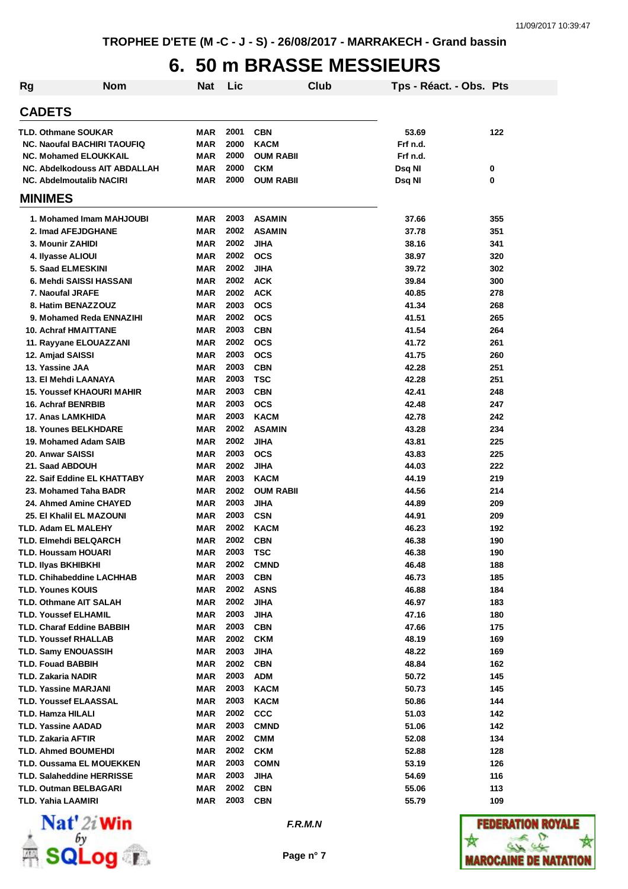## **6. 50 m BRASSE MESSIEURS**

| <b>Rg</b> | <b>Nom</b>                                                                                                                        | Nat                                    | Lic                          |                                                             | Club | Tps - Réact. - Obs. Pts                 |            |
|-----------|-----------------------------------------------------------------------------------------------------------------------------------|----------------------------------------|------------------------------|-------------------------------------------------------------|------|-----------------------------------------|------------|
|           | <b>CADETS</b>                                                                                                                     |                                        |                              |                                                             |      |                                         |            |
|           | <b>TLD. Othmane SOUKAR</b><br><b>NC. Naoufal BACHIRI TAOUFIQ</b><br><b>NC. Mohamed ELOUKKAIL</b><br>NC. Abdelkodouss AIT ABDALLAH | MAR<br>MAR<br><b>MAR</b><br><b>MAR</b> | 2001<br>2000<br>2000<br>2000 | <b>CBN</b><br><b>KACM</b><br><b>OUM RABII</b><br><b>CKM</b> |      | 53.69<br>Frf n.d.<br>Frf n.d.<br>Dsq NI | 122<br>0   |
|           | <b>NC. Abdelmoutalib NACIRI</b>                                                                                                   | MAR                                    | 2000                         | <b>OUM RABII</b>                                            |      | Dsq NI                                  | 0          |
|           | <b>MINIMES</b>                                                                                                                    |                                        |                              |                                                             |      |                                         |            |
|           | 1. Mohamed Imam MAHJOUBI                                                                                                          | MAR                                    | 2003                         | <b>ASAMIN</b>                                               |      | 37.66                                   | 355        |
|           | 2. Imad AFEJDGHANE                                                                                                                | <b>MAR</b>                             | 2002                         | <b>ASAMIN</b>                                               |      | 37.78                                   | 351        |
|           | 3. Mounir ZAHIDI                                                                                                                  | MAR                                    | 2002                         | JIHA                                                        |      | 38.16                                   | 341        |
|           | 4. Ilyasse ALIOUI                                                                                                                 | MAR                                    | 2002                         | <b>OCS</b>                                                  |      | 38.97                                   | 320        |
|           | 5. Saad ELMESKINI                                                                                                                 | MAR                                    | 2002                         | <b>JIHA</b>                                                 |      | 39.72                                   | 302        |
|           | 6. Mehdi SAISSI HASSANI                                                                                                           | MAR                                    | 2002                         | <b>ACK</b>                                                  |      | 39.84                                   | 300        |
|           | 7. Naoufal JRAFE                                                                                                                  | MAR                                    | 2002                         | <b>ACK</b>                                                  |      | 40.85                                   | 278        |
|           | 8. Hatim BENAZZOUZ                                                                                                                | <b>MAR</b>                             | 2003                         | <b>OCS</b>                                                  |      | 41.34                                   | 268        |
|           | 9. Mohamed Reda ENNAZIHI                                                                                                          | <b>MAR</b>                             | 2002                         | <b>OCS</b>                                                  |      | 41.51                                   | 265        |
|           | <b>10. Achraf HMAITTANE</b>                                                                                                       | <b>MAR</b><br><b>MAR</b>               | 2003<br>2002                 | <b>CBN</b><br><b>OCS</b>                                    |      | 41.54<br>41.72                          | 264<br>261 |
|           | 11. Rayyane ELOUAZZANI<br>12. Amjad SAISSI                                                                                        | MAR                                    | 2003                         | <b>OCS</b>                                                  |      | 41.75                                   | 260        |
|           | 13. Yassine JAA                                                                                                                   | MAR                                    | 2003                         | <b>CBN</b>                                                  |      | 42.28                                   | 251        |
|           | 13. El Mehdi LAANAYA                                                                                                              | <b>MAR</b>                             | 2003                         | <b>TSC</b>                                                  |      | 42.28                                   | 251        |
|           | <b>15. Youssef KHAOURI MAHIR</b>                                                                                                  | MAR                                    | 2003                         | <b>CBN</b>                                                  |      | 42.41                                   | 248        |
|           | 16. Achraf BENRBIB                                                                                                                | MAR                                    | 2003                         | <b>OCS</b>                                                  |      | 42.48                                   | 247        |
|           | 17. Anas LAMKHIDA                                                                                                                 | MAR                                    | 2003                         | <b>KACM</b>                                                 |      | 42.78                                   | 242        |
|           | <b>18. Younes BELKHDARE</b>                                                                                                       | MAR                                    | 2002                         | <b>ASAMIN</b>                                               |      | 43.28                                   | 234        |
|           | 19. Mohamed Adam SAIB                                                                                                             | MAR                                    | 2002                         | JIHA                                                        |      | 43.81                                   | 225        |
|           | 20. Anwar SAISSI                                                                                                                  | MAR                                    | 2003                         | <b>OCS</b>                                                  |      | 43.83                                   | 225        |
|           | 21. Saad ABDOUH                                                                                                                   | MAR                                    | 2002                         | <b>JIHA</b>                                                 |      | 44.03                                   | 222        |
|           | 22. Saif Eddine EL KHATTABY                                                                                                       | MAR                                    | 2003                         | <b>KACM</b>                                                 |      | 44.19                                   | 219        |
|           | 23. Mohamed Taha BADR                                                                                                             | MAR                                    | 2002                         | <b>OUM RABII</b>                                            |      | 44.56                                   | 214        |
|           | 24. Ahmed Amine CHAYED                                                                                                            | MAR                                    | 2003                         | JIHA                                                        |      | 44.89                                   | 209        |
|           | 25. El Khalil EL MAZOUNI                                                                                                          | MAR                                    | 2003                         | <b>CSN</b>                                                  |      | 44.91                                   | 209        |
|           | TLD. Adam EL MALEHY                                                                                                               | <b>MAR</b>                             | 2002                         | <b>KACM</b>                                                 |      | 46.23                                   | 192        |
|           | TLD. Elmehdi BELQARCH                                                                                                             | MAR                                    | 2002                         | <b>CBN</b>                                                  |      | 46.38                                   | 190        |
|           | TLD. Houssam HOUARI                                                                                                               | MAR                                    | 2003                         | TSC                                                         |      | 46.38                                   | 190        |
|           | TLD. Ilyas BKHIBKHI                                                                                                               | MAR                                    | 2002                         | <b>CMND</b>                                                 |      | 46.48                                   | 188        |
|           | <b>TLD. Chihabeddine LACHHAB</b>                                                                                                  | <b>MAR</b>                             | 2003<br>2002                 | <b>CBN</b>                                                  |      | 46.73                                   | 185        |
|           | <b>TLD. Younes KOUIS</b><br><b>TLD. Othmane AIT SALAH</b>                                                                         | <b>MAR</b><br>MAR                      | 2002                         | <b>ASNS</b><br>JIHA                                         |      | 46.88<br>46.97                          | 184<br>183 |
|           | TLD. Youssef ELHAMIL                                                                                                              | MAR                                    | 2003                         | <b>JIHA</b>                                                 |      | 47.16                                   | 180        |
|           | <b>TLD. Charaf Eddine BABBIH</b>                                                                                                  | MAR                                    | 2003                         | <b>CBN</b>                                                  |      | 47.66                                   | 175        |
|           | <b>TLD. Youssef RHALLAB</b>                                                                                                       | <b>MAR</b>                             | 2002                         | <b>CKM</b>                                                  |      | 48.19                                   | 169        |
|           | <b>TLD. Samy ENOUASSIH</b>                                                                                                        | MAR                                    | 2003                         | JIHA                                                        |      | 48.22                                   | 169        |
|           | <b>TLD. Fouad BABBIH</b>                                                                                                          | MAR                                    | 2002                         | <b>CBN</b>                                                  |      | 48.84                                   | 162        |
|           | TLD. Zakaria NADIR                                                                                                                | <b>MAR</b>                             | 2003                         | <b>ADM</b>                                                  |      | 50.72                                   | 145        |
|           | TLD. Yassine MARJANI                                                                                                              | MAR                                    | 2003                         | <b>KACM</b>                                                 |      | 50.73                                   | 145        |
|           | TLD. Youssef ELAASSAL                                                                                                             | MAR                                    | 2003                         | KACM                                                        |      | 50.86                                   | 144        |
|           | TLD. Hamza HILALI                                                                                                                 | <b>MAR</b>                             | 2002                         | <b>CCC</b>                                                  |      | 51.03                                   | 142        |
|           | TLD. Yassine AADAD                                                                                                                | <b>MAR</b>                             | 2003                         | <b>CMND</b>                                                 |      | 51.06                                   | 142        |
|           | TLD. Zakaria AFTIR                                                                                                                | MAR                                    | 2002                         | <b>CMM</b>                                                  |      | 52.08                                   | 134        |
|           | TLD. Ahmed BOUMEHDI                                                                                                               | MAR                                    | 2002                         | <b>CKM</b>                                                  |      | 52.88                                   | 128        |
|           | TLD. Oussama EL MOUEKKEN                                                                                                          | MAR                                    | 2003                         | <b>COMN</b>                                                 |      | 53.19                                   | 126        |
|           | TLD. Salaheddine HERRISSE                                                                                                         | MAR                                    | 2003                         | <b>JIHA</b>                                                 |      | 54.69                                   | 116        |
|           | <b>TLD. Outman BELBAGARI</b>                                                                                                      | MAR                                    | 2002                         | <b>CBN</b>                                                  |      | 55.06                                   | 113        |
|           | <b>TLD. Yahia LAAMIRI</b>                                                                                                         | MAR                                    | 2003                         | <b>CBN</b>                                                  |      | 55.79                                   | 109        |



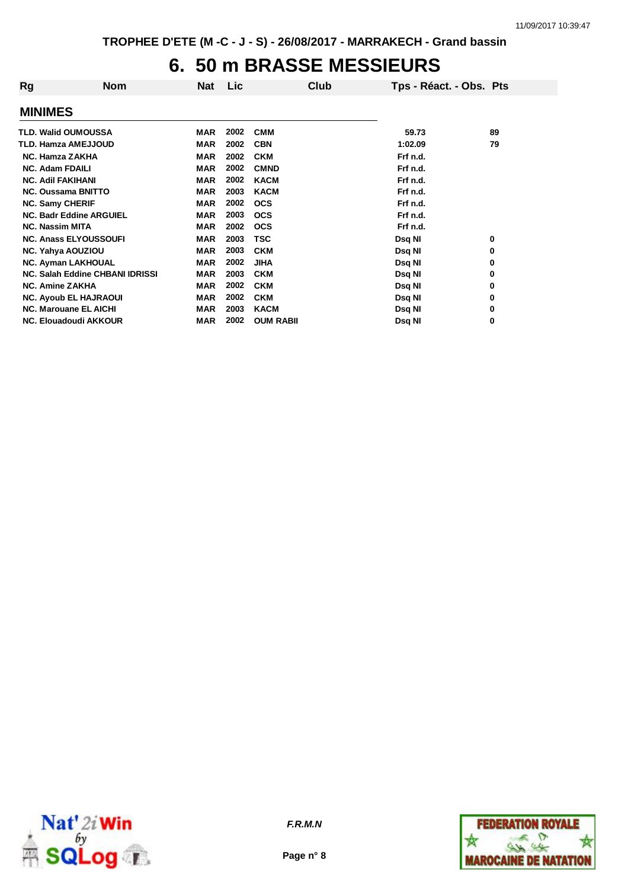# **6. 50 m BRASSE MESSIEURS**

| <b>MINIMES</b>                                                                        |  |
|---------------------------------------------------------------------------------------|--|
| 2002<br><b>TLD. Walid OUMOUSSA</b><br><b>MAR</b><br><b>CMM</b><br>89<br>59.73         |  |
| 2002<br>79<br>TLD. Hamza AMEJJOUD<br><b>MAR</b><br><b>CBN</b><br>1:02.09              |  |
| 2002<br><b>NC. Hamza ZAKHA</b><br><b>MAR</b><br><b>CKM</b><br>Frf n.d.                |  |
| 2002<br><b>NC. Adam FDAILI</b><br><b>MAR</b><br><b>CMND</b><br>Frf n.d.               |  |
| <b>NC. Adil FAKIHANI</b><br>2002<br><b>KACM</b><br><b>MAR</b><br>Frf n.d.             |  |
| 2003<br><b>NC. Oussama BNITTO</b><br><b>MAR</b><br><b>KACM</b><br>Frf n.d.            |  |
| <b>NC. Samy CHERIF</b><br><b>MAR</b><br>2002<br><b>OCS</b><br>Frf n.d.                |  |
| <b>MAR</b><br>2003<br>Frf n.d.<br><b>NC. Badr Eddine ARGUIEL</b><br><b>OCS</b>        |  |
| 2002<br><b>NC. Nassim MITA</b><br><b>MAR</b><br><b>OCS</b><br>Frf n.d.                |  |
| 2003<br><b>NC. Anass ELYOUSSOUFI</b><br>TSC<br><b>MAR</b><br>Dsq NI<br>0              |  |
| 2003<br><b>MAR</b><br><b>CKM</b><br><b>NC. Yahya AOUZIOU</b><br>Dsq NI<br>0           |  |
| 2002<br><b>NC. Ayman LAKHOUAL</b><br><b>MAR</b><br><b>JIHA</b><br>Dsq NI<br>0         |  |
| 2003<br>NC. Salah Eddine CHBANI IDRISSI<br><b>MAR</b><br><b>CKM</b><br>Dsq NI<br>0    |  |
| 2002<br><b>NC. Amine ZAKHA</b><br><b>MAR</b><br><b>CKM</b><br>Dsq NI<br>0             |  |
| 2002<br><b>NC. Ayoub EL HAJRAOUI</b><br><b>MAR</b><br><b>CKM</b><br>Dsq NI<br>0       |  |
| 2003<br><b>NC. Marouane EL AICHI</b><br><b>MAR</b><br><b>KACM</b><br>Dsq NI<br>0      |  |
| 2002<br><b>OUM RABII</b><br>0<br><b>NC. Elouadoudi AKKOUR</b><br><b>MAR</b><br>Dsq NI |  |



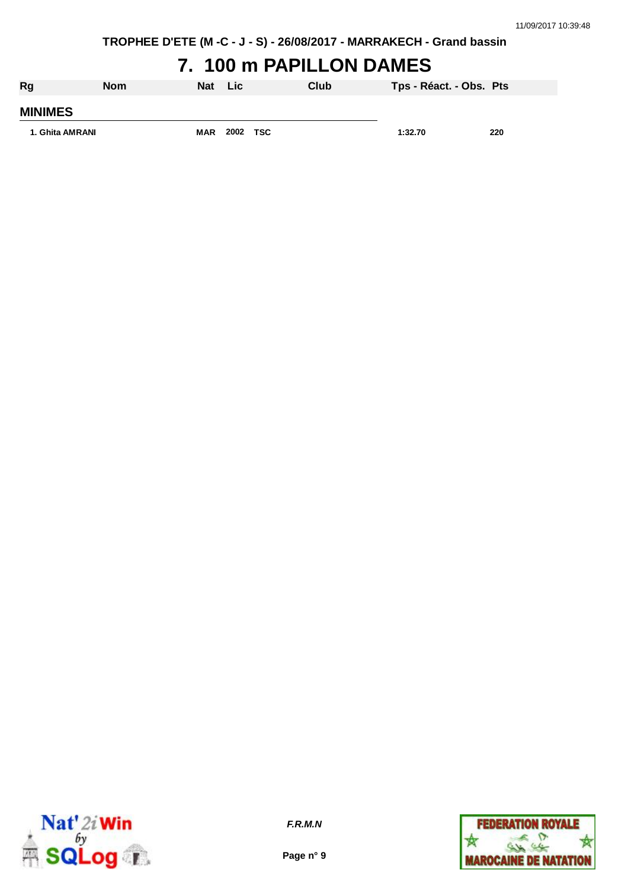### **7. 100 m PAPILLON DAMES**

| <b>Rg</b>       | <b>Nom</b> | Nat        | Lic      | Club | Tps - Réact. - Obs. Pts |     |
|-----------------|------------|------------|----------|------|-------------------------|-----|
| <b>MINIMES</b>  |            |            |          |      |                         |     |
| 1. Ghita AMRANI |            | <b>MAR</b> | 2002 TSC |      | 1:32.70                 | 220 |



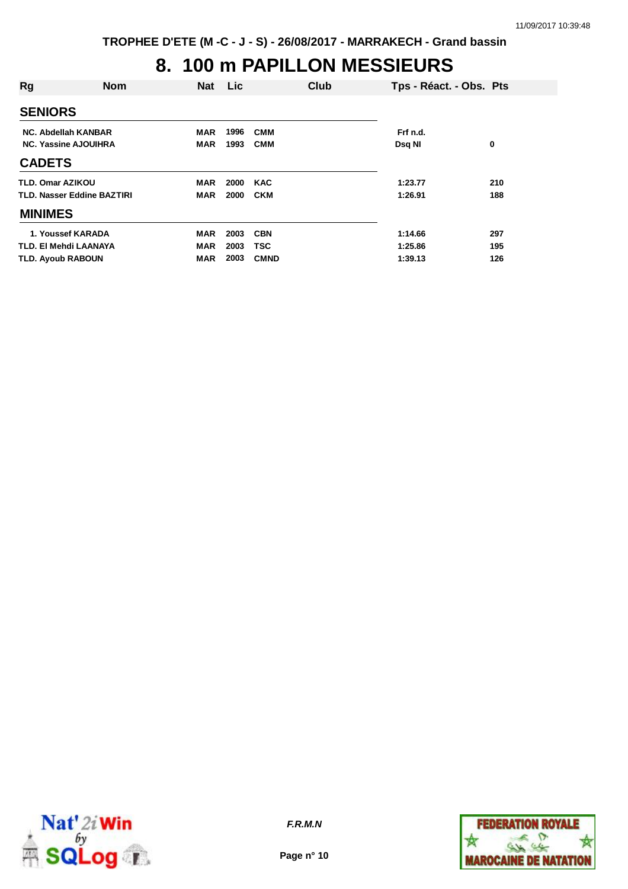# **8. 100 m PAPILLON MESSIEURS**

| Rg                                                                     | <b>Nom</b> | <b>Nat</b>                      | Lic                  |                                         | Club | Tps - Réact. - Obs. Pts       |                   |
|------------------------------------------------------------------------|------------|---------------------------------|----------------------|-----------------------------------------|------|-------------------------------|-------------------|
| <b>SENIORS</b>                                                         |            |                                 |                      |                                         |      |                               |                   |
| NC. Abdellah KANBAR<br><b>NC. Yassine AJOUIHRA</b>                     |            | MAR<br><b>MAR</b>               | 1996<br>1993         | <b>CMM</b><br><b>CMM</b>                |      | Frf n.d.<br>Dsq NI            | 0                 |
| <b>CADETS</b>                                                          |            |                                 |                      |                                         |      |                               |                   |
| TLD. Omar AZIKOU<br>TLD. Nasser Eddine BAZTIRI                         |            | MAR<br><b>MAR</b>               | 2000<br>2000         | <b>KAC</b><br><b>CKM</b>                |      | 1:23.77<br>1:26.91            | 210<br>188        |
| <b>MINIMES</b>                                                         |            |                                 |                      |                                         |      |                               |                   |
| 1. Youssef KARADA<br>TLD. EI Mehdi LAANAYA<br><b>TLD. Ayoub RABOUN</b> |            | <b>MAR</b><br><b>MAR</b><br>MAR | 2003<br>2003<br>2003 | <b>CBN</b><br><b>TSC</b><br><b>CMND</b> |      | 1:14.66<br>1:25.86<br>1:39.13 | 297<br>195<br>126 |



**Page n° 10**

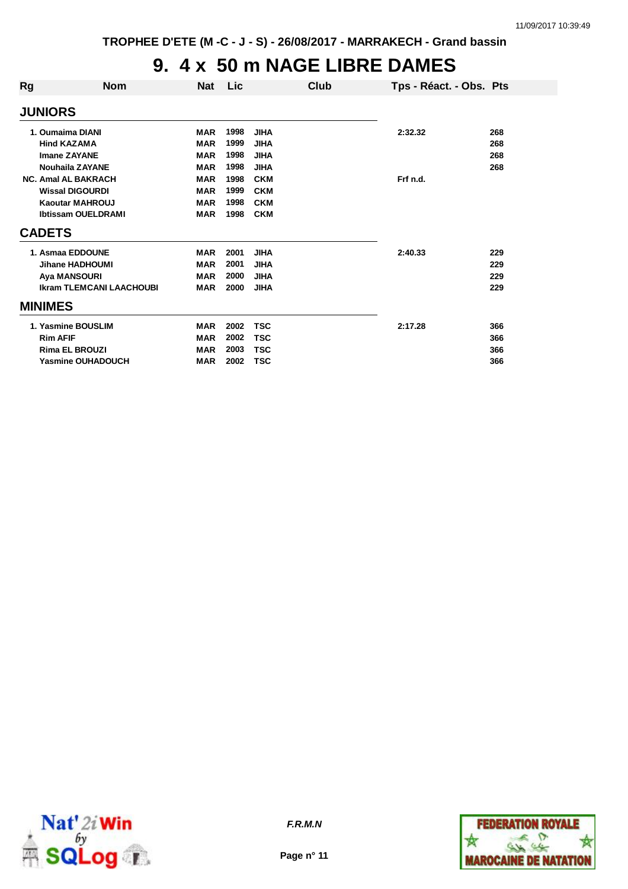# **9. 4 x 50 m NAGE LIBRE DAMES**

| Rg | <b>Nom</b>                      | <b>Nat</b> | Lic  | Club        | Tps - Réact. - Obs. Pts |     |
|----|---------------------------------|------------|------|-------------|-------------------------|-----|
|    | <b>JUNIORS</b>                  |            |      |             |                         |     |
|    | 1. Oumaima DIANI                | <b>MAR</b> | 1998 | <b>JIHA</b> | 2:32.32                 | 268 |
|    | <b>Hind KAZAMA</b>              | <b>MAR</b> | 1999 | <b>JIHA</b> |                         | 268 |
|    | <b>Imane ZAYANE</b>             | <b>MAR</b> | 1998 | <b>JIHA</b> |                         | 268 |
|    | <b>Nouhaila ZAYANE</b>          | <b>MAR</b> | 1998 | <b>JIHA</b> |                         | 268 |
|    | <b>NC. Amal AL BAKRACH</b>      | <b>MAR</b> | 1998 | <b>CKM</b>  | Frf n.d.                |     |
|    | <b>Wissal DIGOURDI</b>          | <b>MAR</b> | 1999 | <b>CKM</b>  |                         |     |
|    | <b>Kaoutar MAHROUJ</b>          | <b>MAR</b> | 1998 | <b>CKM</b>  |                         |     |
|    | <b>Ibtissam OUELDRAMI</b>       | <b>MAR</b> | 1998 | <b>CKM</b>  |                         |     |
|    | <b>CADETS</b>                   |            |      |             |                         |     |
|    | 1. Asmaa EDDOUNE                | <b>MAR</b> | 2001 | <b>JIHA</b> | 2:40.33                 | 229 |
|    | Jihane HADHOUMI                 | <b>MAR</b> | 2001 | <b>JIHA</b> |                         | 229 |
|    | <b>Aya MANSOURI</b>             | <b>MAR</b> | 2000 | <b>JIHA</b> |                         | 229 |
|    | <b>Ikram TLEMCANI LAACHOUBI</b> | <b>MAR</b> | 2000 | <b>JIHA</b> |                         | 229 |
|    | <b>MINIMES</b>                  |            |      |             |                         |     |
|    | 1. Yasmine BOUSLIM              | <b>MAR</b> | 2002 | <b>TSC</b>  | 2:17.28                 | 366 |
|    | <b>Rim AFIF</b>                 | <b>MAR</b> | 2002 | <b>TSC</b>  |                         | 366 |
|    | <b>Rima EL BROUZI</b>           | <b>MAR</b> | 2003 | <b>TSC</b>  |                         | 366 |
|    | <b>Yasmine OUHADOUCH</b>        | <b>MAR</b> | 2002 | <b>TSC</b>  |                         | 366 |
|    |                                 |            |      |             |                         |     |



**Page n° 11**

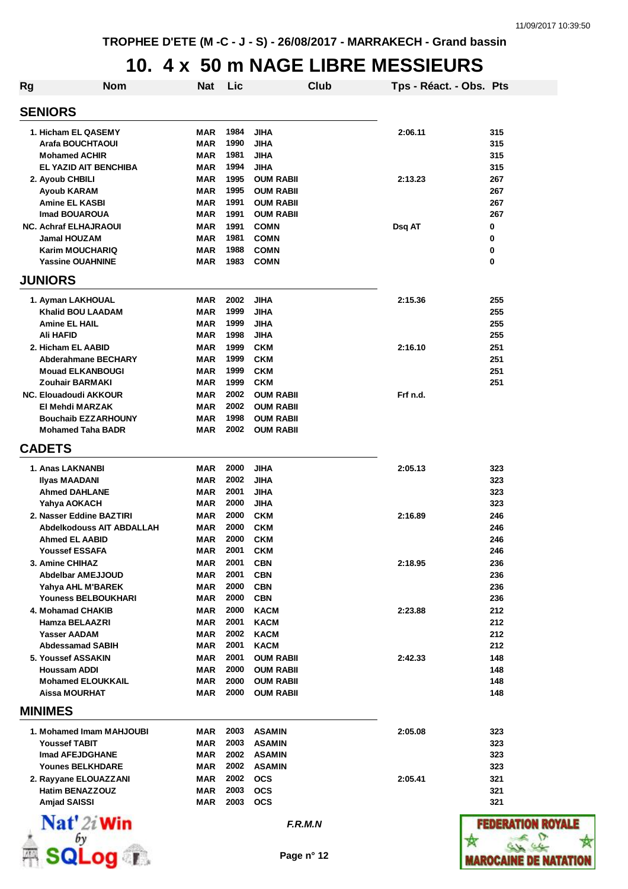#### **10. 4 x 50 m NAGE LIBRE MESSIEURS**

| <b>Rg</b>      | <b>Nom</b>                                    | Nat                      | Lic          |                          | Club | Tps - Réact. - Obs. Pts |            |
|----------------|-----------------------------------------------|--------------------------|--------------|--------------------------|------|-------------------------|------------|
| <b>SENIORS</b> |                                               |                          |              |                          |      |                         |            |
|                | 1. Hicham EL QASEMY                           | MAR                      | 1984         | JIHA                     |      | 2:06.11                 | 315        |
|                | Arafa BOUCHTAOUI                              | MAR                      | 1990         | JIHA                     |      |                         | 315        |
|                | <b>Mohamed ACHIR</b>                          | MAR                      | 1981         | JIHA                     |      |                         | 315        |
|                | EL YAZID AIT BENCHIBA                         | MAR                      | 1994         | <b>JIHA</b>              |      |                         | 315        |
|                | 2. Ayoub CHBILI                               | MAR                      | 1995         | <b>OUM RABII</b>         |      | 2:13.23                 | 267        |
|                | Ayoub KARAM                                   | <b>MAR</b>               | 1995         | <b>OUM RABII</b>         |      |                         | 267        |
|                | <b>Amine EL KASBI</b>                         | MAR                      | 1991         | <b>OUM RABII</b>         |      |                         | 267        |
|                | <b>Imad BOUAROUA</b>                          | MAR                      | 1991         | OUM RABII                |      |                         | 267        |
|                | <b>NC. Achraf ELHAJRAOUI</b>                  | MAR                      | 1991         | <b>COMN</b>              |      | Dsq AT                  | 0          |
|                | <b>Jamal HOUZAM</b>                           | <b>MAR</b>               | 1981         | <b>COMN</b>              |      |                         | 0          |
|                | Karim MOUCHARIQ                               | <b>MAR</b>               | 1988<br>1983 | <b>COMN</b>              |      |                         | 0<br>0     |
| <b>JUNIORS</b> | <b>Yassine OUAHNINE</b>                       | MAR                      |              | <b>COMN</b>              |      |                         |            |
|                |                                               |                          | 2002         |                          |      |                         |            |
|                | 1. Ayman LAKHOUAL<br><b>Khalid BOU LAADAM</b> | <b>MAR</b><br><b>MAR</b> | 1999         | <b>JIHA</b><br>JIHA      |      | 2:15.36                 | 255<br>255 |
|                | <b>Amine EL HAIL</b>                          | MAR                      | 1999         | JIHA                     |      |                         | 255        |
|                | <b>Ali HAFID</b>                              | <b>MAR</b>               | 1998         | <b>JIHA</b>              |      |                         | 255        |
|                | 2. Hicham EL AABID                            | <b>MAR</b>               | 1999         | <b>CKM</b>               |      | 2:16.10                 | 251        |
|                | <b>Abderahmane BECHARY</b>                    | <b>MAR</b>               | 1999         | <b>CKM</b>               |      |                         | 251        |
|                | <b>Mouad ELKANBOUGI</b>                       | MAR                      | 1999         | <b>CKM</b>               |      |                         | 251        |
|                | <b>Zouhair BARMAKI</b>                        | MAR                      | 1999         | <b>CKM</b>               |      |                         | 251        |
|                | <b>NC. Elouadoudi AKKOUR</b>                  | MAR                      | 2002         | <b>OUM RABII</b>         |      | Frf n.d.                |            |
|                | El Mehdi MARZAK                               | MAR                      | 2002         | <b>OUM RABII</b>         |      |                         |            |
|                | <b>Bouchaib EZZARHOUNY</b>                    | MAR                      | 1998         | <b>OUM RABII</b>         |      |                         |            |
|                | <b>Mohamed Taha BADR</b>                      | <b>MAR</b>               | 2002         | <b>OUM RABII</b>         |      |                         |            |
| <b>CADETS</b>  |                                               |                          |              |                          |      |                         |            |
|                | 1. Anas LAKNANBI                              | <b>MAR</b>               | 2000         | <b>JIHA</b>              |      | 2:05.13                 | 323        |
|                | Ilyas MAADANI                                 | MAR                      | 2002         | JIHA                     |      |                         | 323        |
|                | <b>Ahmed DAHLANE</b>                          | MAR                      | 2001         | JIHA                     |      |                         | 323        |
|                | Yahya AOKACH                                  | MAR                      | 2000         | JIHA                     |      |                         | 323        |
|                | 2. Nasser Eddine BAZTIRI                      | MAR                      | 2000         | <b>CKM</b>               |      | 2:16.89                 | 246        |
|                | <b>Abdelkodouss AIT ABDALLAH</b>              | MAR                      | 2000         | <b>CKM</b>               |      |                         | 246        |
|                | <b>Ahmed EL AABID</b>                         | MAR                      | 2000         | <b>CKM</b>               |      |                         | 246        |
|                | <b>Youssef ESSAFA</b>                         | MAR                      | 2001         | <b>CKM</b>               |      |                         | 246        |
|                | 3. Amine CHIHAZ                               | MAR                      | 2001         | <b>CBN</b>               |      | 2:18.95                 | 236        |
|                | <b>Abdelbar AMEJJOUD</b>                      | MAR                      | 2001         | <b>CBN</b>               |      |                         | 236        |
|                | Yahya AHL M'BAREK<br>Youness BELBOUKHARI      | MAR<br>MAR               | 2000<br>2000 | <b>CBN</b><br><b>CBN</b> |      |                         | 236<br>236 |
|                | 4. Mohamad CHAKIB                             | <b>MAR</b>               | 2000         | <b>KACM</b>              |      | 2:23.88                 | 212        |
|                | Hamza BELAAZRI                                | <b>MAR</b>               | 2001         | <b>KACM</b>              |      |                         | 212        |
|                | <b>Yasser AADAM</b>                           | <b>MAR</b>               | 2002         | <b>KACM</b>              |      |                         | 212        |
|                | <b>Abdessamad SABIH</b>                       | <b>MAR</b>               | 2001         | <b>KACM</b>              |      |                         | 212        |
|                | 5. Youssef ASSAKIN                            | <b>MAR</b>               | 2001         | <b>OUM RABII</b>         |      | 2:42.33                 | 148        |
|                | <b>Houssam ADDI</b>                           | MAR                      | 2000         | <b>OUM RABII</b>         |      |                         | 148        |
|                | <b>Mohamed ELOUKKAIL</b>                      | MAR                      | 2000         | <b>OUM RABII</b>         |      |                         | 148        |
|                | <b>Aissa MOURHAT</b>                          | <b>MAR</b>               | 2000         | <b>OUM RABII</b>         |      |                         | 148        |
| <b>MINIMES</b> |                                               |                          |              |                          |      |                         |            |
|                | 1. Mohamed Imam MAHJOUBI                      | MAR                      | 2003         | <b>ASAMIN</b>            |      | 2:05.08                 | 323        |
|                | <b>Youssef TABIT</b>                          | <b>MAR</b>               | 2003         | <b>ASAMIN</b>            |      |                         | 323        |
|                | Imad AFEJDGHANE                               | MAR                      | 2002         | <b>ASAMIN</b>            |      |                         | 323        |
|                | <b>Younes BELKHDARE</b>                       | MAR                      | 2002         | <b>ASAMIN</b>            |      |                         | 323        |
|                | 2. Rayyane ELOUAZZANI                         | <b>MAR</b>               | 2002         | <b>OCS</b>               |      | 2:05.41                 | 321        |
|                | <b>Hatim BENAZZOUZ</b>                        | <b>MAR</b>               | 2003         | <b>OCS</b>               |      |                         | 321        |
|                | <b>Amjad SAISSI</b>                           | MAR                      | 2003         | <b>OCS</b>               |      |                         | 321        |
|                | $\mathbf{Nat}'$ 2i Win                        |                          |              | F.R.M.N                  |      |                         | FEDER      |
|                |                                               |                          |              |                          |      |                         |            |
|                | Log T                                         |                          |              | Page n° 12               |      |                         | IAROCAI    |

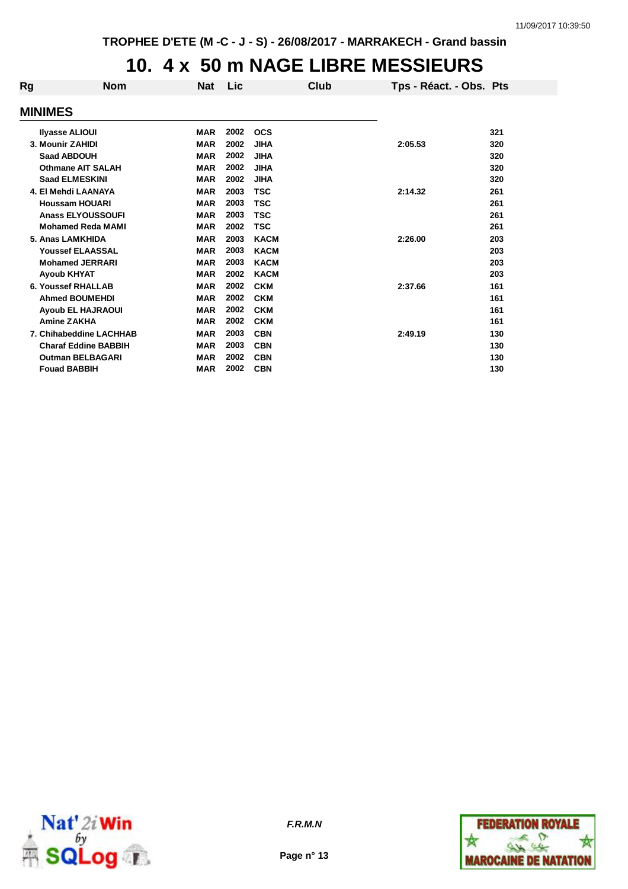#### **10. 4 x 50 m NAGE LIBRE MESSIEURS**

| <b>Nom</b>                  | <b>Nat</b> | Lic  |             | Club |         |                         |
|-----------------------------|------------|------|-------------|------|---------|-------------------------|
| <b>MINIMES</b>              |            |      |             |      |         |                         |
| <b>Ilyasse ALIOUI</b>       | <b>MAR</b> | 2002 | <b>OCS</b>  |      |         | 321                     |
| 3. Mounir ZAHIDI            | <b>MAR</b> | 2002 | <b>JIHA</b> |      | 2:05.53 | 320                     |
| <b>Saad ABDOUH</b>          | <b>MAR</b> | 2002 | <b>JIHA</b> |      |         | 320                     |
| <b>Othmane AIT SALAH</b>    | <b>MAR</b> | 2002 | <b>JIHA</b> |      |         | 320                     |
| <b>Saad ELMESKINI</b>       | <b>MAR</b> | 2002 | <b>JIHA</b> |      |         | 320                     |
| 4. El Mehdi LAANAYA         | <b>MAR</b> | 2003 | <b>TSC</b>  |      | 2:14.32 | 261                     |
| <b>Houssam HOUARI</b>       | <b>MAR</b> | 2003 | TSC         |      |         | 261                     |
| <b>Anass ELYOUSSOUFI</b>    | <b>MAR</b> | 2003 | <b>TSC</b>  |      |         | 261                     |
| <b>Mohamed Reda MAMI</b>    | <b>MAR</b> | 2002 | <b>TSC</b>  |      |         | 261                     |
| 5. Anas LAMKHIDA            | <b>MAR</b> | 2003 | <b>KACM</b> |      | 2:26.00 | 203                     |
| <b>Youssef ELAASSAL</b>     | <b>MAR</b> | 2003 | <b>KACM</b> |      |         | 203                     |
| <b>Mohamed JERRARI</b>      | <b>MAR</b> | 2003 | <b>KACM</b> |      |         | 203                     |
| <b>Ayoub KHYAT</b>          | <b>MAR</b> | 2002 | <b>KACM</b> |      |         | 203                     |
| <b>6. Youssef RHALLAB</b>   | <b>MAR</b> | 2002 | <b>CKM</b>  |      | 2:37.66 | 161                     |
| <b>Ahmed BOUMEHDI</b>       | <b>MAR</b> | 2002 | <b>CKM</b>  |      |         | 161                     |
| <b>Ayoub EL HAJRAOUI</b>    | <b>MAR</b> | 2002 | <b>CKM</b>  |      |         | 161                     |
| <b>Amine ZAKHA</b>          | <b>MAR</b> | 2002 | <b>CKM</b>  |      |         | 161                     |
| 7. Chihabeddine LACHHAB     | <b>MAR</b> | 2003 | <b>CBN</b>  |      | 2:49.19 | 130                     |
| <b>Charaf Eddine BABBIH</b> | <b>MAR</b> | 2003 | <b>CBN</b>  |      |         | 130                     |
| <b>Outman BELBAGARI</b>     | <b>MAR</b> | 2002 | <b>CBN</b>  |      |         | 130                     |
| <b>Fouad BABBIH</b>         | <b>MAR</b> | 2002 | <b>CBN</b>  |      |         | 130                     |
|                             |            |      |             |      |         | Tps - Réact. - Obs. Pts |



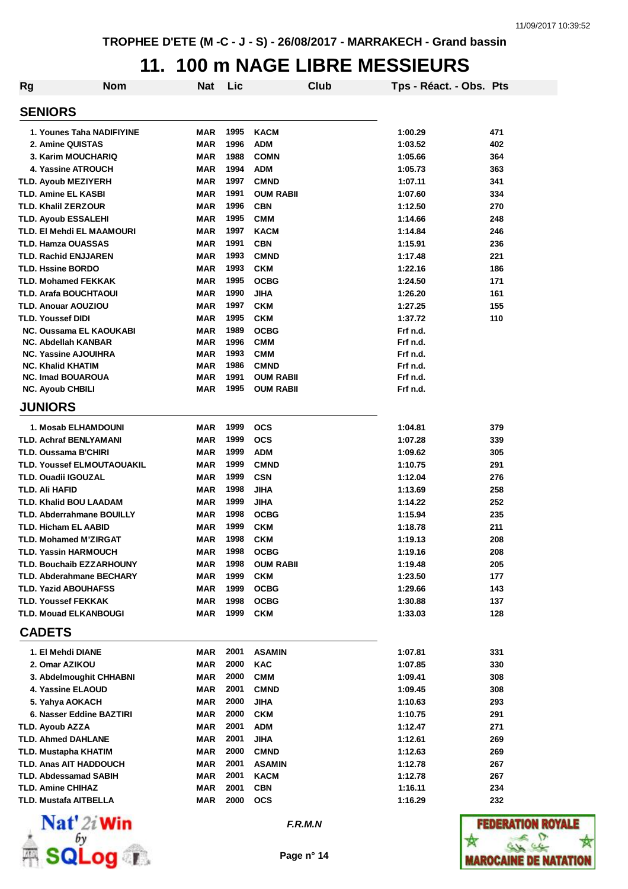### **11. 100 m NAGE LIBRE MESSIEURS**

| <b>Rg</b>         | <b>Nom</b>                                                        | <b>Nat</b>               | Lic          |                     | Club | Tps - Réact. - Obs. Pts |                                            |
|-------------------|-------------------------------------------------------------------|--------------------------|--------------|---------------------|------|-------------------------|--------------------------------------------|
| <b>SENIORS</b>    |                                                                   |                          |              |                     |      |                         |                                            |
|                   | 1. Younes Taha NADIFIYINE                                         | <b>MAR</b>               | 1995         | <b>KACM</b>         |      | 1:00.29                 | 471                                        |
|                   | 2. Amine QUISTAS                                                  | <b>MAR</b>               | 1996         | <b>ADM</b>          |      | 1:03.52                 | 402                                        |
|                   | 3. Karim MOUCHARIQ                                                | <b>MAR</b>               | 1988         | <b>COMN</b>         |      | 1:05.66                 | 364                                        |
|                   | 4. Yassine ATROUCH                                                | <b>MAR</b>               | 1994         | <b>ADM</b>          |      | 1:05.73                 | 363                                        |
|                   | <b>TLD. Ayoub MEZIYERH</b>                                        | MAR                      | 1997         | <b>CMND</b>         |      | 1:07.11                 | 341                                        |
|                   | <b>TLD. Amine EL KASBI</b>                                        | <b>MAR</b>               | 1991         | <b>OUM RABII</b>    |      | 1:07.60                 | 334                                        |
|                   | <b>TLD. Khalil ZERZOUR</b>                                        | <b>MAR</b>               | 1996         | <b>CBN</b>          |      | 1:12.50                 | 270                                        |
|                   | <b>TLD. Ayoub ESSALEHI</b>                                        | <b>MAR</b>               | 1995         | <b>CMM</b>          |      | 1:14.66                 | 248                                        |
|                   | TLD. EI Mehdi EL MAAMOURI                                         | <b>MAR</b>               | 1997         | <b>KACM</b>         |      | 1:14.84                 | 246                                        |
|                   | <b>TLD. Hamza OUASSAS</b>                                         | <b>MAR</b>               | 1991         | <b>CBN</b>          |      | 1:15.91                 | 236                                        |
|                   | <b>TLD. Rachid ENJJAREN</b>                                       | <b>MAR</b>               | 1993         | <b>CMND</b>         |      | 1:17.48                 | 221                                        |
|                   | <b>TLD. Hssine BORDO</b>                                          | <b>MAR</b>               | 1993         | <b>CKM</b>          |      | 1:22.16                 | 186                                        |
|                   | <b>TLD. Mohamed FEKKAK</b>                                        | <b>MAR</b>               | 1995         | <b>OCBG</b>         |      | 1:24.50                 | 171                                        |
|                   | <b>TLD. Arafa BOUCHTAOUI</b>                                      | <b>MAR</b>               | 1990         | <b>JIHA</b>         |      | 1:26.20                 | 161                                        |
|                   | <b>TLD. Anouar AOUZIOU</b>                                        | <b>MAR</b>               | 1997         | <b>CKM</b>          |      | 1:27.25                 | 155                                        |
| TLD. Youssef DIDI |                                                                   | <b>MAR</b>               | 1995         | <b>CKM</b>          |      | 1:37.72                 | 110                                        |
|                   | <b>NC. Oussama EL KAOUKABI</b>                                    | <b>MAR</b>               | 1989         | <b>OCBG</b>         |      | Frf n.d.                |                                            |
|                   | <b>NC. Abdellah KANBAR</b>                                        | <b>MAR</b>               | 1996         | <b>CMM</b>          |      | Frf n.d.                |                                            |
|                   | <b>NC. Yassine AJOUIHRA</b>                                       | <b>MAR</b>               | 1993         | <b>CMM</b>          |      | Frf n.d.                |                                            |
|                   | <b>NC. Khalid KHATIM</b>                                          | <b>MAR</b>               | 1986         | <b>CMND</b>         |      | Frf n.d.                |                                            |
|                   | <b>NC. Imad BOUAROUA</b>                                          | <b>MAR</b>               | 1991<br>1995 | <b>OUM RABII</b>    |      | Frf n.d.                |                                            |
|                   | <b>NC. Ayoub CHBILI</b>                                           | <b>MAR</b>               |              | <b>OUM RABII</b>    |      | Frf n.d.                |                                            |
| <b>JUNIORS</b>    |                                                                   |                          |              |                     |      |                         |                                            |
|                   | 1. Mosab ELHAMDOUNI                                               | MAR                      | 1999         | <b>OCS</b>          |      | 1:04.81                 | 379                                        |
|                   | <b>TLD. Achraf BENLYAMANI</b>                                     | <b>MAR</b>               | 1999         | <b>OCS</b>          |      | 1:07.28                 | 339                                        |
|                   | TLD. Oussama B'CHIRI                                              | <b>MAR</b>               | 1999         | <b>ADM</b>          |      | 1:09.62                 | 305                                        |
|                   | TLD. Youssef ELMOUTAOUAKIL                                        | <b>MAR</b>               | 1999         | <b>CMND</b>         |      | 1:10.75                 | 291                                        |
|                   | <b>TLD. Ouadii IGOUZAL</b>                                        | <b>MAR</b>               | 1999         | <b>CSN</b>          |      | 1:12.04                 | 276                                        |
| TLD. Ali HAFID    |                                                                   | <b>MAR</b>               | 1998         | JIHA                |      | 1:13.69<br>1:14.22      | 258                                        |
|                   | <b>TLD. Khalid BOU LAADAM</b><br><b>TLD. Abderrahmane BOUILLY</b> | <b>MAR</b><br><b>MAR</b> | 1999<br>1998 | JIHA<br><b>OCBG</b> |      | 1:15.94                 | 252<br>235                                 |
|                   | TLD. Hicham EL AABID                                              | <b>MAR</b>               | 1999         | <b>CKM</b>          |      |                         |                                            |
|                   | <b>TLD. Mohamed M'ZIRGAT</b>                                      | <b>MAR</b>               | 1998         | <b>CKM</b>          |      | 1:18.78<br>1:19.13      | 211<br>208                                 |
|                   | <b>TLD. Yassin HARMOUCH</b>                                       | MAR                      | 1998         | <b>OCBG</b>         |      | 1:19.16                 | 208                                        |
|                   | <b>TLD. Bouchaib EZZARHOUNY</b>                                   | MAR                      | 1998         | <b>OUM RABII</b>    |      | 1:19.48                 | 205                                        |
|                   | <b>TLD. Abderahmane BECHARY</b>                                   | <b>MAR</b>               | 1999         | <b>CKM</b>          |      | 1:23.50                 | 177                                        |
|                   | <b>TLD. Yazid ABOUHAFSS</b>                                       | <b>MAR</b>               | 1999         | <b>OCBG</b>         |      | 1:29.66                 | 143                                        |
|                   | TLD. Youssef FEKKAK                                               | MAR                      | 1998         | <b>OCBG</b>         |      | 1:30.88                 | 137                                        |
|                   | <b>TLD. Mouad ELKANBOUGI</b>                                      | MAR                      | 1999         | <b>CKM</b>          |      | 1:33.03                 | 128                                        |
| <b>CADETS</b>     |                                                                   |                          |              |                     |      |                         |                                            |
|                   | 1. El Mehdi DIANE                                                 | MAR                      | 2001         | <b>ASAMIN</b>       |      | 1:07.81                 | 331                                        |
|                   | 2. Omar AZIKOU                                                    | MAR                      | 2000         | <b>KAC</b>          |      | 1:07.85                 | 330                                        |
|                   | 3. Abdelmoughit CHHABNI                                           | <b>MAR</b>               | 2000         | <b>CMM</b>          |      | 1:09.41                 | 308                                        |
|                   | 4. Yassine ELAOUD                                                 | MAR                      | 2001         | <b>CMND</b>         |      | 1:09.45                 | 308                                        |
|                   | 5. Yahya AOKACH                                                   | MAR                      | 2000         | <b>JIHA</b>         |      | 1:10.63                 | 293                                        |
|                   | 6. Nasser Eddine BAZTIRI                                          | <b>MAR</b>               | 2000         | <b>CKM</b>          |      | 1:10.75                 | 291                                        |
| TLD. Ayoub AZZA   |                                                                   | MAR                      | 2001         | <b>ADM</b>          |      | 1:12.47                 | 271                                        |
|                   | <b>TLD. Ahmed DAHLANE</b>                                         | <b>MAR</b>               | 2001         | JIHA                |      | 1:12.61                 | 269                                        |
|                   | TLD. Mustapha KHATIM                                              | MAR                      | 2000         | <b>CMND</b>         |      | 1:12.63                 | 269                                        |
|                   | <b>TLD. Anas AIT HADDOUCH</b>                                     | MAR                      | 2001         | <b>ASAMIN</b>       |      | 1:12.78                 | 267                                        |
|                   | <b>TLD. Abdessamad SABIH</b>                                      | MAR                      | 2001         | <b>KACM</b>         |      | 1:12.78                 | 267                                        |
|                   | TLD. Amine CHIHAZ                                                 | MAR                      | 2001         | <b>CBN</b>          |      | 1:16.11                 | 234                                        |
|                   | TLD. Mustafa AITBELLA                                             | MAR                      | 2000         | <b>OCS</b>          |      | 1:16.29                 | 232                                        |
|                   | $N_{\alpha}$ 41.0.1882.                                           |                          |              |                     |      |                         | <b><i><b><i>PRODUCED AND A</i></b></i></b> |



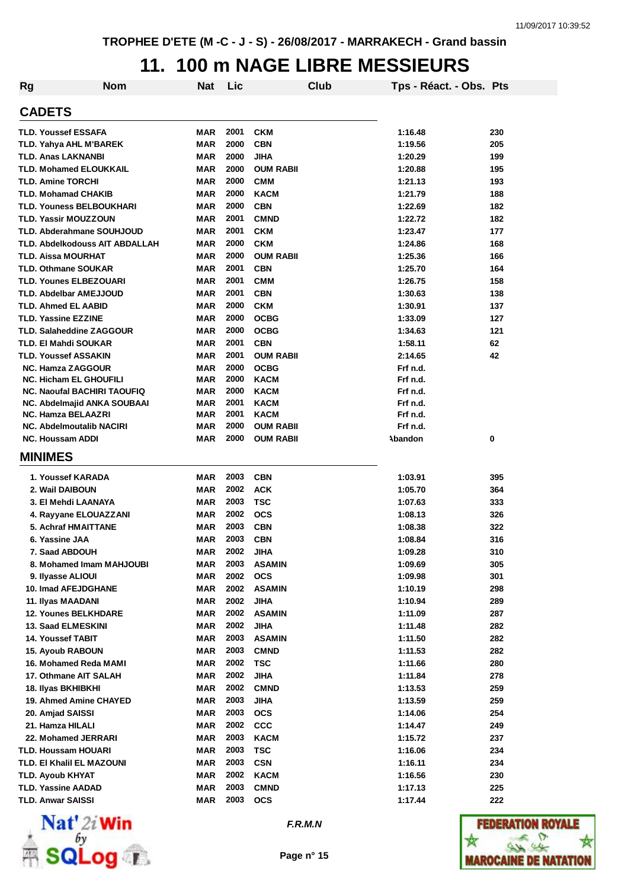#### **11. 100 m NAGE LIBRE MESSIEURS**

| <b>Rg</b> | Nom                                   | <b>Nat</b> | Lic  |                  | Club | Tps - Réact. - Obs. Pts |     |
|-----------|---------------------------------------|------------|------|------------------|------|-------------------------|-----|
|           | <b>CADETS</b>                         |            |      |                  |      |                         |     |
|           | <b>TLD. Youssef ESSAFA</b>            | <b>MAR</b> | 2001 | <b>CKM</b>       |      | 1:16.48                 | 230 |
|           | <b>TLD. Yahya AHL M'BAREK</b>         | <b>MAR</b> | 2000 | <b>CBN</b>       |      | 1:19.56                 | 205 |
|           | <b>TLD. Anas LAKNANBI</b>             | <b>MAR</b> | 2000 | <b>JIHA</b>      |      | 1:20.29                 | 199 |
|           | <b>TLD. Mohamed ELOUKKAIL</b>         | <b>MAR</b> | 2000 | <b>OUM RABII</b> |      | 1:20.88                 | 195 |
|           | <b>TLD. Amine TORCHI</b>              | <b>MAR</b> | 2000 | <b>CMM</b>       |      | 1:21.13                 | 193 |
|           | <b>TLD. Mohamad CHAKIB</b>            | <b>MAR</b> | 2000 | <b>KACM</b>      |      | 1:21.79                 | 188 |
|           | <b>TLD. Youness BELBOUKHARI</b>       | <b>MAR</b> | 2000 | <b>CBN</b>       |      | 1:22.69                 | 182 |
|           | <b>TLD. Yassir MOUZZOUN</b>           | <b>MAR</b> | 2001 | <b>CMND</b>      |      | 1:22.72                 | 182 |
|           | <b>TLD. Abderahmane SOUHJOUD</b>      | <b>MAR</b> | 2001 | <b>CKM</b>       |      | 1:23.47                 | 177 |
|           | <b>TLD. Abdelkodouss AIT ABDALLAH</b> | <b>MAR</b> | 2000 | <b>CKM</b>       |      | 1:24.86                 | 168 |
|           | <b>TLD. Aissa MOURHAT</b>             | <b>MAR</b> | 2000 | <b>OUM RABII</b> |      | 1:25.36                 | 166 |
|           | <b>TLD. Othmane SOUKAR</b>            | <b>MAR</b> | 2001 | <b>CBN</b>       |      | 1:25.70                 | 164 |
|           | <b>TLD. Younes ELBEZOUARI</b>         | <b>MAR</b> | 2001 | <b>CMM</b>       |      | 1:26.75                 | 158 |
|           | <b>TLD. Abdelbar AMEJJOUD</b>         | <b>MAR</b> | 2001 | <b>CBN</b>       |      | 1:30.63                 | 138 |
|           | <b>TLD. Ahmed EL AABID</b>            | <b>MAR</b> | 2000 | <b>CKM</b>       |      | 1:30.91                 | 137 |
|           | <b>TLD. Yassine EZZINE</b>            | <b>MAR</b> | 2000 | <b>OCBG</b>      |      | 1:33.09                 | 127 |
|           | <b>TLD. Salaheddine ZAGGOUR</b>       | <b>MAR</b> | 2000 | <b>OCBG</b>      |      | 1:34.63                 | 121 |
|           | TLD. El Mahdi SOUKAR                  | <b>MAR</b> | 2001 | <b>CBN</b>       |      | 1:58.11                 | 62  |
|           | <b>TLD. Youssef ASSAKIN</b>           | <b>MAR</b> | 2001 | <b>OUM RABII</b> |      | 2:14.65                 | 42  |
|           | <b>NC. Hamza ZAGGOUR</b>              | <b>MAR</b> | 2000 | <b>OCBG</b>      |      | Frf n.d.                |     |
|           | <b>NC. Hicham EL GHOUFILI</b>         | <b>MAR</b> | 2000 | <b>KACM</b>      |      | Frf n.d.                |     |
|           | NC. Naoufal BACHIRI TAOUFIQ           | <b>MAR</b> | 2000 | <b>KACM</b>      |      | Frf n.d.                |     |
|           | NC. Abdelmajid ANKA SOUBAAI           | MAR        | 2001 | <b>KACM</b>      |      | Frf n.d.                |     |
|           | NC. Hamza BELAAZRI                    | MAR        | 2001 | <b>KACM</b>      |      | Frf n.d.                |     |
|           | <b>NC. Abdelmoutalib NACIRI</b>       | <b>MAR</b> | 2000 | <b>OUM RABII</b> |      | Frf n.d.                |     |
|           | <b>NC. Houssam ADDI</b>               | <b>MAR</b> | 2000 | <b>OUM RABII</b> |      | Abandon                 | 0   |
|           | <b>MINIMES</b>                        |            |      |                  |      |                         |     |
|           | 1. Youssef KARADA                     | <b>MAR</b> | 2003 | <b>CBN</b>       |      | 1:03.91                 | 395 |
|           | 2. Wail DAIBOUN                       | <b>MAR</b> | 2002 | <b>ACK</b>       |      | 1:05.70                 | 364 |
|           | 3. El Mehdi LAANAYA                   | <b>MAR</b> | 2003 | <b>TSC</b>       |      | 1:07.63                 | 333 |
|           | 4. Rayyane ELOUAZZANI                 | MAR        | 2002 | <b>OCS</b>       |      | 1:08.13                 | 326 |
|           | <b>5. Achraf HMAITTANE</b>            | MAR        | 2003 | <b>CBN</b>       |      | 1:08.38                 | 322 |
|           | 6. Yassine JAA                        | <b>MAR</b> | 2003 | <b>CBN</b>       |      | 1:08.84                 | 316 |
|           | 7. Saad ABDOUH                        | MAR        | 2002 | JIHA             |      | 1:09.28                 | 310 |
|           | 8. Mohamed Imam MAHJOUBI              | <b>MAR</b> | 2003 | <b>ASAMIN</b>    |      | 1:09.69                 | 305 |
|           | 9. Ilyasse ALIOUI                     | MAR        | 2002 | <b>OCS</b>       |      | 1:09.98                 | 301 |
|           | <b>10. Imad AFEJDGHANE</b>            | MAR        | 2002 | <b>ASAMIN</b>    |      | 1:10.19                 | 298 |
|           | 11. Ilyas MAADANI                     | <b>MAR</b> | 2002 | <b>JIHA</b>      |      | 1:10.94                 | 289 |
|           | <b>12. Younes BELKHDARE</b>           | <b>MAR</b> | 2002 | <b>ASAMIN</b>    |      | 1:11.09                 | 287 |
|           | <b>13. Saad ELMESKINI</b>             | <b>MAR</b> | 2002 | <b>JIHA</b>      |      | 1:11.48                 | 282 |
|           | <b>14. Youssef TABIT</b>              | <b>MAR</b> | 2003 | <b>ASAMIN</b>    |      | 1:11.50                 | 282 |
|           | 15. Ayoub RABOUN                      | <b>MAR</b> | 2003 | <b>CMND</b>      |      | 1:11.53                 | 282 |
|           | 16. Mohamed Reda MAMI                 | <b>MAR</b> | 2002 | <b>TSC</b>       |      | 1:11.66                 | 280 |
|           | 17. Othmane AIT SALAH                 | MAR        | 2002 | JIHA             |      | 1:11.84                 | 278 |
|           | 18. Ilyas BKHIBKHI                    | MAR        | 2002 | <b>CMND</b>      |      | 1:13.53                 | 259 |
|           | 19. Ahmed Amine CHAYED                | MAR        | 2003 | <b>JIHA</b>      |      | 1:13.59                 | 259 |
|           | 20. Amjad SAISSI                      | <b>MAR</b> | 2003 | <b>OCS</b>       |      | 1:14.06                 | 254 |
|           | 21. Hamza HILALI                      | <b>MAR</b> | 2002 | <b>CCC</b>       |      | 1:14.47                 | 249 |
|           | 22. Mohamed JERRARI                   | MAR        | 2003 | <b>KACM</b>      |      | 1:15.72                 | 237 |
|           | <b>TLD. Houssam HOUARI</b>            | MAR        | 2003 | <b>TSC</b>       |      | 1:16.06                 | 234 |
|           | TLD. EI Khalil EL MAZOUNI             | MAR        | 2003 | <b>CSN</b>       |      | 1:16.11                 | 234 |
|           | TLD. Ayoub KHYAT                      | MAR        | 2002 | <b>KACM</b>      |      | 1:16.56                 | 230 |
|           | <b>TLD. Yassine AADAD</b>             | <b>MAR</b> | 2003 | <b>CMND</b>      |      | 1:17.13                 | 225 |
|           | <b>TLD. Anwar SAISSI</b>              | <b>MAR</b> | 2003 | <b>OCS</b>       |      | 1:17.44                 | 222 |



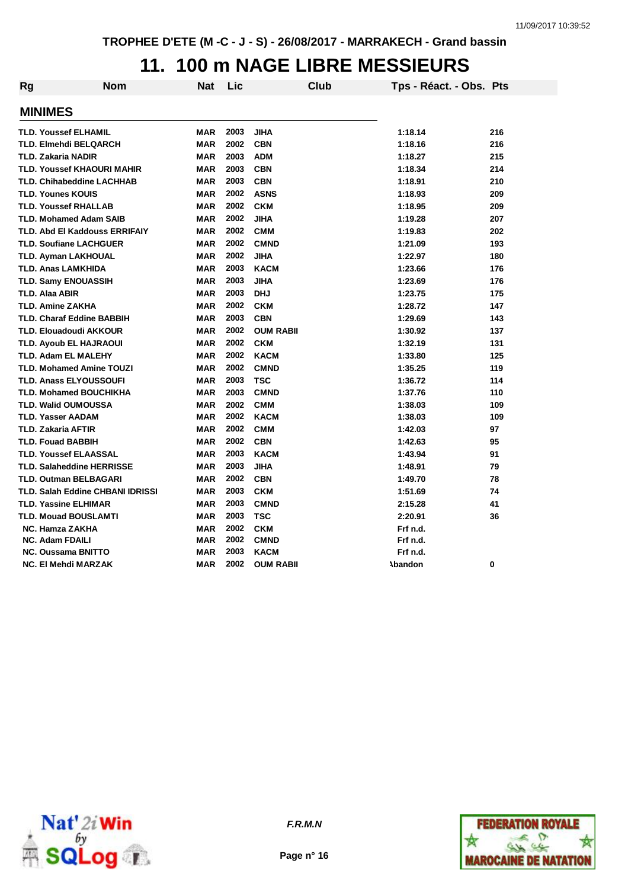#### **11. 100 m NAGE LIBRE MESSIEURS**

| <b>Rg</b> | <b>Nom</b>                        | Nat        | Lic  | <b>Club</b>      | Tps - Réact. - Obs. Pts |     |
|-----------|-----------------------------------|------------|------|------------------|-------------------------|-----|
|           | <b>MINIMES</b>                    |            |      |                  |                         |     |
|           | <b>TLD. Youssef ELHAMIL</b>       | <b>MAR</b> | 2003 | <b>JIHA</b>      | 1:18.14                 | 216 |
|           | TLD. Elmehdi BELQARCH             | <b>MAR</b> | 2002 | <b>CBN</b>       | 1:18.16                 | 216 |
|           | <b>TLD. Zakaria NADIR</b>         | <b>MAR</b> | 2003 | <b>ADM</b>       | 1:18.27                 | 215 |
|           | <b>TLD. Youssef KHAOURI MAHIR</b> | <b>MAR</b> | 2003 | <b>CBN</b>       | 1:18.34                 | 214 |
|           | <b>TLD. Chihabeddine LACHHAB</b>  | <b>MAR</b> | 2003 | <b>CBN</b>       | 1:18.91                 | 210 |
|           | <b>TLD. Younes KOUIS</b>          | <b>MAR</b> | 2002 | <b>ASNS</b>      | 1:18.93                 | 209 |
|           | <b>TLD. Youssef RHALLAB</b>       | <b>MAR</b> | 2002 | <b>CKM</b>       | 1:18.95                 | 209 |
|           | <b>TLD. Mohamed Adam SAIB</b>     | <b>MAR</b> | 2002 | <b>JIHA</b>      | 1:19.28                 | 207 |
|           | TLD. Abd El Kaddouss ERRIFAIY     | <b>MAR</b> | 2002 | <b>CMM</b>       | 1:19.83                 | 202 |
|           | <b>TLD. Soufiane LACHGUER</b>     | <b>MAR</b> | 2002 | <b>CMND</b>      | 1:21.09                 | 193 |
|           | TLD. Ayman LAKHOUAL               | <b>MAR</b> | 2002 | <b>JIHA</b>      | 1:22.97                 | 180 |
|           | <b>TLD. Anas LAMKHIDA</b>         | <b>MAR</b> | 2003 | <b>KACM</b>      | 1:23.66                 | 176 |
|           | <b>TLD. Samy ENOUASSIH</b>        | <b>MAR</b> | 2003 | <b>JIHA</b>      | 1:23.69                 | 176 |
|           | <b>TLD. Alaa ABIR</b>             | <b>MAR</b> | 2003 | <b>DHJ</b>       | 1:23.75                 | 175 |
|           | TLD. Amine ZAKHA                  | <b>MAR</b> | 2002 | <b>CKM</b>       | 1:28.72                 | 147 |
|           | <b>TLD. Charaf Eddine BABBIH</b>  | <b>MAR</b> | 2003 | <b>CBN</b>       | 1:29.69                 | 143 |
|           | <b>TLD. Elouadoudi AKKOUR</b>     | <b>MAR</b> | 2002 | <b>OUM RABII</b> | 1:30.92                 | 137 |
|           | <b>TLD. Ayoub EL HAJRAOUI</b>     | <b>MAR</b> | 2002 | <b>CKM</b>       | 1:32.19                 | 131 |
|           | <b>TLD. Adam EL MALEHY</b>        | <b>MAR</b> | 2002 | <b>KACM</b>      | 1:33.80                 | 125 |
|           | <b>TLD. Mohamed Amine TOUZI</b>   | <b>MAR</b> | 2002 | <b>CMND</b>      | 1:35.25                 | 119 |
|           | <b>TLD. Anass ELYOUSSOUFI</b>     | <b>MAR</b> | 2003 | <b>TSC</b>       | 1:36.72                 | 114 |
|           | <b>TLD. Mohamed BOUCHIKHA</b>     | <b>MAR</b> | 2003 | <b>CMND</b>      | 1:37.76                 | 110 |
|           | <b>TLD. Walid OUMOUSSA</b>        | <b>MAR</b> | 2002 | <b>CMM</b>       | 1:38.03                 | 109 |
|           | <b>TLD. Yasser AADAM</b>          | <b>MAR</b> | 2002 | <b>KACM</b>      | 1:38.03                 | 109 |
|           | <b>TLD. Zakaria AFTIR</b>         | <b>MAR</b> | 2002 | <b>CMM</b>       | 1:42.03                 | 97  |
|           | <b>TLD. Fouad BABBIH</b>          | <b>MAR</b> | 2002 | <b>CBN</b>       | 1:42.63                 | 95  |
|           | <b>TLD. Youssef ELAASSAL</b>      | <b>MAR</b> | 2003 | <b>KACM</b>      | 1:43.94                 | 91  |
|           | <b>TLD. Salaheddine HERRISSE</b>  | <b>MAR</b> | 2003 | <b>JIHA</b>      | 1:48.91                 | 79  |
|           | <b>TLD. Outman BELBAGARI</b>      | <b>MAR</b> | 2002 | <b>CBN</b>       | 1:49.70                 | 78  |
|           | TLD. Salah Eddine CHBANI IDRISSI  | <b>MAR</b> | 2003 | <b>CKM</b>       | 1:51.69                 | 74  |
|           | <b>TLD. Yassine ELHIMAR</b>       | <b>MAR</b> | 2003 | <b>CMND</b>      | 2:15.28                 | 41  |
|           | <b>TLD. Mouad BOUSLAMTI</b>       | <b>MAR</b> | 2003 | <b>TSC</b>       | 2:20.91                 | 36  |
|           | <b>NC. Hamza ZAKHA</b>            | <b>MAR</b> | 2002 | <b>CKM</b>       | Frf n.d.                |     |
|           | <b>NC. Adam FDAILI</b>            | <b>MAR</b> | 2002 | <b>CMND</b>      | Frf n.d.                |     |
|           | <b>NC. Oussama BNITTO</b>         | <b>MAR</b> | 2003 | <b>KACM</b>      | Frf n.d.                |     |
|           | NC. El Mehdi MARZAK               | <b>MAR</b> | 2002 | <b>OUM RABII</b> | Abandon                 | 0   |



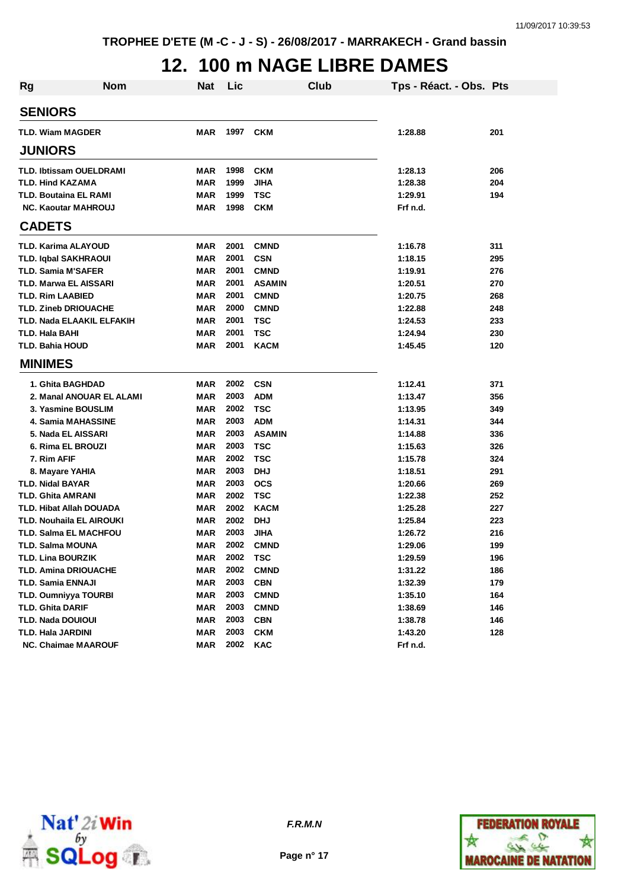# **12. 100 m NAGE LIBRE DAMES**

| <b>Rg</b>                      | <b>Nom</b> | <b>Nat</b> | Lic  |               | Club | Tps - Réact. - Obs. Pts |     |
|--------------------------------|------------|------------|------|---------------|------|-------------------------|-----|
| <b>SENIORS</b>                 |            |            |      |               |      |                         |     |
| <b>TLD. Wiam MAGDER</b>        |            | MAR        | 1997 | <b>CKM</b>    |      | 1:28.88                 | 201 |
| <b>JUNIORS</b>                 |            |            |      |               |      |                         |     |
| <b>TLD. Ibtissam OUELDRAMI</b> |            | MAR        | 1998 | <b>CKM</b>    |      | 1:28.13                 | 206 |
| TLD. Hind KAZAMA               |            | <b>MAR</b> | 1999 | <b>JIHA</b>   |      | 1:28.38                 | 204 |
| TLD. Boutaina EL RAMI          |            | <b>MAR</b> | 1999 | <b>TSC</b>    |      | 1:29.91                 | 194 |
| <b>NC. Kaoutar MAHROUJ</b>     |            | <b>MAR</b> | 1998 | <b>CKM</b>    |      | Frf n.d.                |     |
| <b>CADETS</b>                  |            |            |      |               |      |                         |     |
| TLD. Karima ALAYOUD            |            | MAR        | 2001 | <b>CMND</b>   |      | 1:16.78                 | 311 |
| <b>TLD. Iqbal SAKHRAOUI</b>    |            | <b>MAR</b> | 2001 | <b>CSN</b>    |      | 1:18.15                 | 295 |
| <b>TLD. Samia M'SAFER</b>      |            | <b>MAR</b> | 2001 | <b>CMND</b>   |      | 1:19.91                 | 276 |
| <b>TLD. Marwa EL AISSARI</b>   |            | <b>MAR</b> | 2001 | <b>ASAMIN</b> |      | 1:20.51                 | 270 |
| <b>TLD. Rim LAABIED</b>        |            | <b>MAR</b> | 2001 | <b>CMND</b>   |      | 1:20.75                 | 268 |
| <b>TLD. Zineb DRIOUACHE</b>    |            | <b>MAR</b> | 2000 | <b>CMND</b>   |      | 1:22.88                 | 248 |
| TLD. Nada ELAAKIL ELFAKIH      |            | <b>MAR</b> | 2001 | <b>TSC</b>    |      | 1:24.53                 | 233 |
| TLD. Hala BAHI                 |            | <b>MAR</b> | 2001 | <b>TSC</b>    |      | 1:24.94                 | 230 |
| <b>TLD. Bahia HOUD</b>         |            | <b>MAR</b> | 2001 | <b>KACM</b>   |      | 1:45.45                 | 120 |
| <b>MINIMES</b>                 |            |            |      |               |      |                         |     |
| 1. Ghita BAGHDAD               |            | MAR        | 2002 | <b>CSN</b>    |      | 1:12.41                 | 371 |
| 2. Manal ANOUAR EL ALAMI       |            | <b>MAR</b> | 2003 | <b>ADM</b>    |      | 1:13.47                 | 356 |
| 3. Yasmine BOUSLIM             |            | <b>MAR</b> | 2002 | <b>TSC</b>    |      | 1:13.95                 | 349 |
| <b>4. Samia MAHASSINE</b>      |            | <b>MAR</b> | 2003 | <b>ADM</b>    |      | 1:14.31                 | 344 |
| 5. Nada EL AISSARI             |            | <b>MAR</b> | 2003 | <b>ASAMIN</b> |      | 1:14.88                 | 336 |
| 6. Rima EL BROUZI              |            | <b>MAR</b> | 2003 | <b>TSC</b>    |      | 1:15.63                 | 326 |
| 7. Rim AFIF                    |            | <b>MAR</b> | 2002 | <b>TSC</b>    |      | 1:15.78                 | 324 |
| 8. Mayare YAHIA                |            | MAR        | 2003 | <b>DHJ</b>    |      | 1:18.51                 | 291 |
| <b>TLD. Nidal BAYAR</b>        |            | <b>MAR</b> | 2003 | <b>OCS</b>    |      | 1:20.66                 | 269 |
| <b>TLD. Ghita AMRANI</b>       |            | <b>MAR</b> | 2002 | <b>TSC</b>    |      | 1:22.38                 | 252 |
| <b>TLD. Hibat Allah DOUADA</b> |            | <b>MAR</b> | 2002 | <b>KACM</b>   |      | 1:25.28                 | 227 |
| TLD. Nouhaila EL AIROUKI       |            | <b>MAR</b> | 2002 | <b>DHJ</b>    |      | 1:25.84                 | 223 |
| <b>TLD. Salma EL MACHFOU</b>   |            | <b>MAR</b> | 2003 | <b>JIHA</b>   |      | 1:26.72                 | 216 |
| TLD. Salma MOUNA               |            | MAR        | 2002 | <b>CMND</b>   |      | 1:29.06                 | 199 |
| <b>TLD. Lina BOURZIK</b>       |            | MAR        | 2002 | <b>TSC</b>    |      | 1:29.59                 | 196 |
| <b>TLD. Amina DRIOUACHE</b>    |            | <b>MAR</b> | 2002 | <b>CMND</b>   |      | 1:31.22                 | 186 |
| TLD. Samia ENNAJI              |            | <b>MAR</b> | 2003 | <b>CBN</b>    |      | 1:32.39                 | 179 |
| <b>TLD. Oumniyya TOURBI</b>    |            | <b>MAR</b> | 2003 | <b>CMND</b>   |      | 1:35.10                 | 164 |
| <b>TLD. Ghita DARIF</b>        |            | <b>MAR</b> | 2003 | <b>CMND</b>   |      | 1:38.69                 | 146 |
| <b>TLD. Nada DOUIOUI</b>       |            | <b>MAR</b> | 2003 | <b>CBN</b>    |      | 1:38.78                 | 146 |
| <b>TLD. Hala JARDINI</b>       |            | <b>MAR</b> | 2003 | <b>CKM</b>    |      | 1:43.20                 | 128 |
| <b>NC. Chaimae MAAROUF</b>     |            | <b>MAR</b> | 2002 | <b>KAC</b>    |      | Frf n.d.                |     |



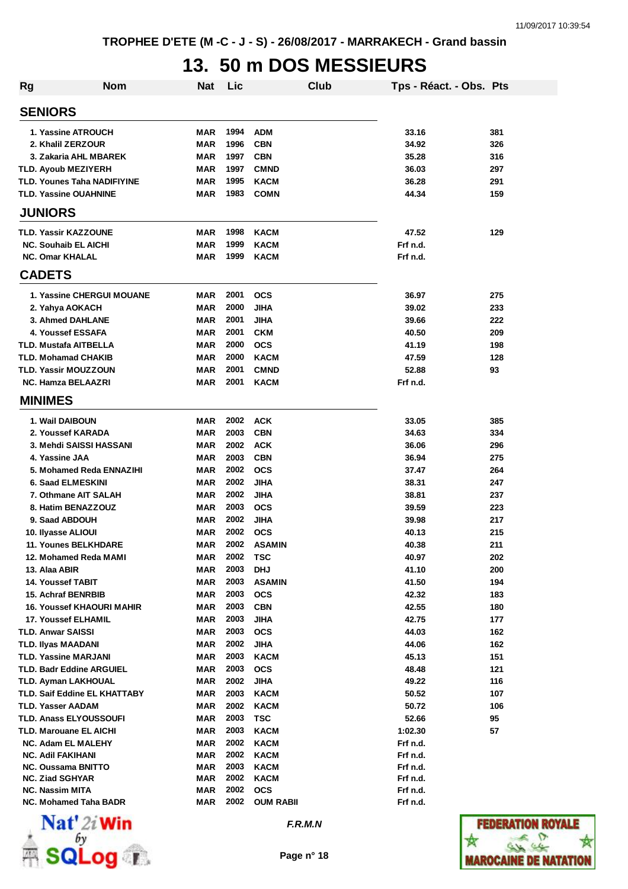# **13. 50 m DOS MESSIEURS**

| <b>Rg</b> | <b>Nom</b>                                | <b>Nat</b>               | Lic          |                           | Club | Tps - Réact. - Obs. Pts |     |
|-----------|-------------------------------------------|--------------------------|--------------|---------------------------|------|-------------------------|-----|
|           | <b>SENIORS</b>                            |                          |              |                           |      |                         |     |
|           | 1. Yassine ATROUCH                        | MAR                      | 1994         | <b>ADM</b>                |      | 33.16                   | 381 |
|           | 2. Khalil ZERZOUR                         | <b>MAR</b>               | 1996         | <b>CBN</b>                |      | 34.92                   | 326 |
|           | 3. Zakaria AHL MBAREK                     | <b>MAR</b>               | 1997         | <b>CBN</b>                |      | 35.28                   | 316 |
|           | <b>TLD. Ayoub MEZIYERH</b>                | <b>MAR</b>               | 1997         | <b>CMND</b>               |      | 36.03                   | 297 |
|           | <b>TLD. Younes Taha NADIFIYINE</b>        | <b>MAR</b>               | 1995         | <b>KACM</b>               |      | 36.28                   | 291 |
|           | <b>TLD. Yassine OUAHNINE</b>              | <b>MAR</b>               | 1983         | <b>COMN</b>               |      | 44.34                   | 159 |
|           | <b>JUNIORS</b>                            |                          |              |                           |      |                         |     |
|           | TLD. Yassir KAZZOUNE                      | <b>MAR</b>               | 1998         | <b>KACM</b>               |      | 47.52                   | 129 |
|           | <b>NC. Souhaib EL AICHI</b>               | <b>MAR</b>               | 1999         | <b>KACM</b>               |      | Frf n.d.                |     |
|           | <b>NC. Omar KHALAL</b>                    | MAR                      | 1999         | <b>KACM</b>               |      | Frf n.d.                |     |
|           | <b>CADETS</b>                             |                          |              |                           |      |                         |     |
|           | <b>1. Yassine CHERGUI MOUANE</b>          | <b>MAR</b>               | 2001         | <b>OCS</b>                |      | 36.97                   | 275 |
|           | 2. Yahya AOKACH                           | MAR                      | 2000         | <b>JIHA</b>               |      | 39.02                   | 233 |
|           | 3. Ahmed DAHLANE                          | <b>MAR</b>               | 2001         | <b>JIHA</b>               |      | 39.66                   | 222 |
|           | 4. Youssef ESSAFA                         | <b>MAR</b>               | 2001         | <b>CKM</b>                |      | 40.50                   | 209 |
|           | <b>TLD. Mustafa AITBELLA</b>              | <b>MAR</b>               | 2000         | <b>OCS</b>                |      | 41.19                   | 198 |
|           | <b>TLD. Mohamad CHAKIB</b>                | <b>MAR</b>               | 2000         | <b>KACM</b>               |      | 47.59                   | 128 |
|           | <b>TLD. Yassir MOUZZOUN</b>               | <b>MAR</b>               | 2001         | <b>CMND</b>               |      | 52.88                   | 93  |
|           | <b>NC. Hamza BELAAZRI</b>                 | <b>MAR</b>               | 2001         | KACM                      |      | Frf n.d.                |     |
|           | <b>MINIMES</b>                            |                          |              |                           |      |                         |     |
|           | 1. Wail DAIBOUN                           | <b>MAR</b>               | 2002         | <b>ACK</b>                |      | 33.05                   | 385 |
|           | 2. Youssef KARADA                         | <b>MAR</b>               | 2003         | <b>CBN</b>                |      | 34.63                   | 334 |
|           | 3. Mehdi SAISSI HASSANI                   | MAR                      | 2002         | <b>ACK</b>                |      | 36.06                   | 296 |
|           | 4. Yassine JAA                            | MAR                      | 2003         | <b>CBN</b>                |      | 36.94                   | 275 |
|           | 5. Mohamed Reda ENNAZIHI                  | MAR                      | 2002         | <b>OCS</b>                |      | 37.47                   | 264 |
|           | 6. Saad ELMESKINI                         | MAR                      | 2002         | <b>JIHA</b>               |      | 38.31                   | 247 |
|           | 7. Othmane AIT SALAH                      | <b>MAR</b>               | 2002         | <b>JIHA</b>               |      | 38.81                   | 237 |
|           | 8. Hatim BENAZZOUZ                        | <b>MAR</b>               | 2003         | <b>OCS</b>                |      | 39.59                   | 223 |
|           | 9. Saad ABDOUH                            | MAR                      | 2002         | <b>JIHA</b>               |      | 39.98                   | 217 |
|           | 10. Ilyasse ALIOUI                        | MAR                      | 2002         | <b>OCS</b>                |      | 40.13                   | 215 |
|           | <b>11. Younes BELKHDARE</b>               | <b>MAR</b>               | 2002         | <b>ASAMIN</b>             |      | 40.38                   | 211 |
|           | 12. Mohamed Reda MAMI                     | MAR                      | 2002         | TSC                       |      | 40.97                   | 202 |
|           | 13. Alaa ABIR                             | <b>MAR</b>               | 2003         | <b>DHJ</b>                |      | 41.10                   | 200 |
|           | 14. Youssef TABIT                         | <b>MAR</b>               | 2003         | <b>ASAMIN</b>             |      | 41.50                   | 194 |
|           | <b>15. Achraf BENRBIB</b>                 | <b>MAR</b>               | 2003         | <b>OCS</b>                |      | 42.32                   | 183 |
|           | <b>16. Youssef KHAOURI MAHIR</b>          | <b>MAR</b>               | 2003         | <b>CBN</b>                |      | 42.55                   | 180 |
|           | <b>17. Youssef ELHAMIL</b>                | <b>MAR</b>               | 2003         | JIHA                      |      | 42.75                   | 177 |
|           | <b>TLD. Anwar SAISSI</b>                  | <b>MAR</b>               | 2003         | <b>OCS</b>                |      | 44.03                   | 162 |
|           | TLD. Ilyas MAADANI                        | <b>MAR</b>               | 2002         | <b>JIHA</b>               |      | 44.06                   | 162 |
|           | <b>TLD. Yassine MARJANI</b>               | <b>MAR</b>               | 2003         | <b>KACM</b>               |      | 45.13                   | 151 |
|           | <b>TLD. Badr Eddine ARGUIEL</b>           | <b>MAR</b>               | 2003         | <b>OCS</b>                |      | 48.48                   | 121 |
|           | <b>TLD. Ayman LAKHOUAL</b>                | <b>MAR</b>               | 2002         | JIHA                      |      | 49.22                   | 116 |
|           | <b>TLD. Saif Eddine EL KHATTABY</b>       | <b>MAR</b>               | 2003         | <b>KACM</b>               |      | 50.52                   | 107 |
|           | <b>TLD. Yasser AADAM</b>                  | <b>MAR</b>               | 2002         | <b>KACM</b>               |      | 50.72                   | 106 |
|           | <b>TLD. Anass ELYOUSSOUFI</b>             | <b>MAR</b>               | 2003         | <b>TSC</b>                |      | 52.66                   | 95  |
|           | TLD. Marouane EL AICHI                    | <b>MAR</b>               | 2003         | <b>KACM</b>               |      | 1:02.30                 | 57  |
|           | <b>NC. Adam EL MALEHY</b>                 | <b>MAR</b>               | 2002         | <b>KACM</b>               |      | Frf n.d.                |     |
|           | NC. Adil FAKIHANI                         | MAR                      | 2002         | <b>KACM</b>               |      | Frf n.d.                |     |
|           | <b>NC. Oussama BNITTO</b>                 | MAR                      | 2003<br>2002 | <b>KACM</b>               |      | Frf n.d.                |     |
|           | <b>NC. Ziad SGHYAR</b><br>NC. Nassim MITA | <b>MAR</b><br><b>MAR</b> | 2002         | <b>KACM</b><br><b>OCS</b> |      | Frf n.d.<br>Frf n.d.    |     |
|           | NC. Mohamed Taha BADR                     | MAR                      | 2002         | <b>OUM RABII</b>          |      | Frf n.d.                |     |
|           |                                           |                          |              |                           |      |                         |     |



**Page n° 18**

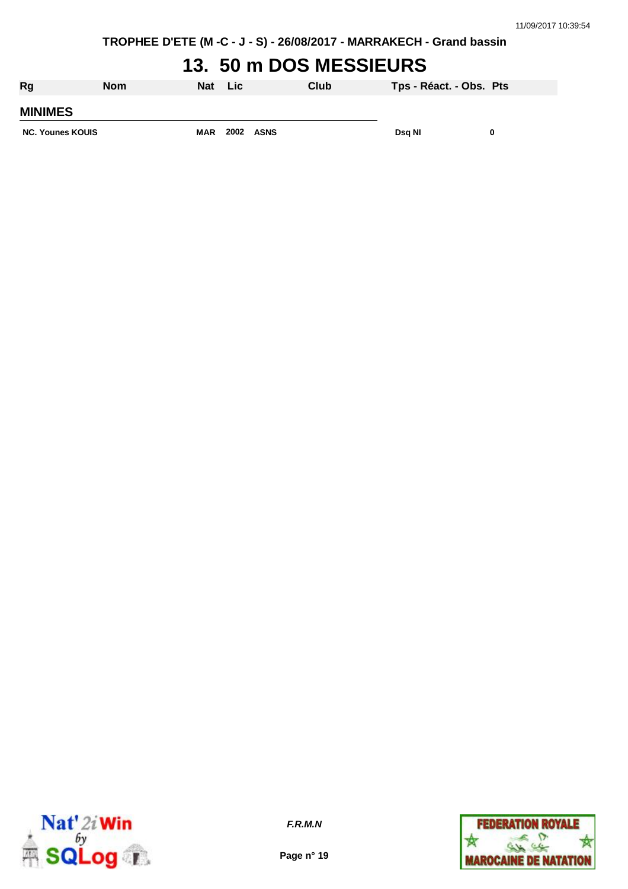# **13. 50 m DOS MESSIEURS**

| Rg                      | <b>Nom</b> | Nat        | <b>Lic</b> |             | Club | Tps - Réact. - Obs. Pts |  |
|-------------------------|------------|------------|------------|-------------|------|-------------------------|--|
| <b>MINIMES</b>          |            |            |            |             |      |                         |  |
| <b>NC. Younes KOUIS</b> |            | <b>MAR</b> | 2002       | <b>ASNS</b> |      | Dsg NI                  |  |



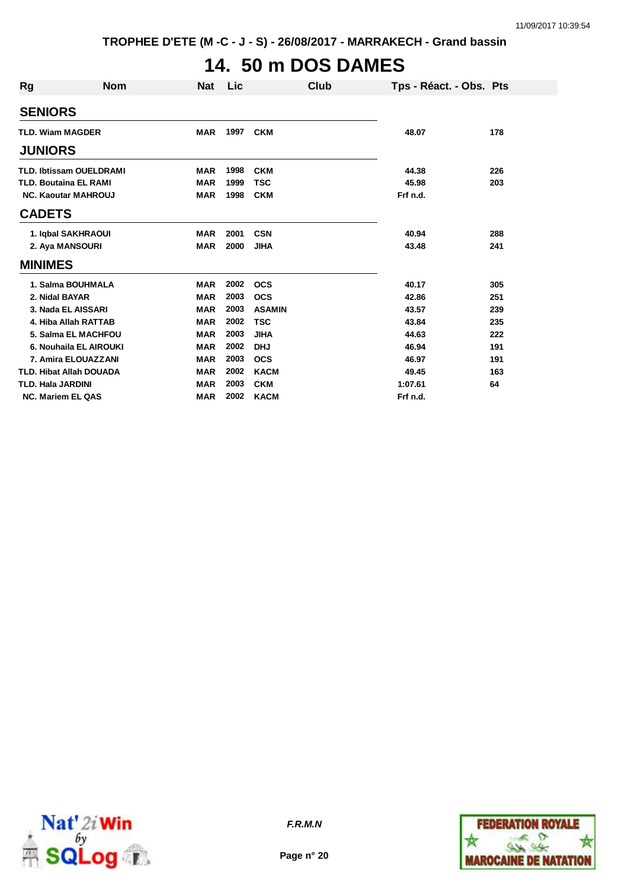# **14. 50 m DOS DAMES**

| Rg                       | <b>Nom</b>                     | <b>Nat</b> | <b>Lic</b> | Club          |          | Tps - Réact. - Obs. Pts |
|--------------------------|--------------------------------|------------|------------|---------------|----------|-------------------------|
| <b>SENIORS</b>           |                                |            |            |               |          |                         |
|                          | <b>TLD. Wiam MAGDER</b>        | <b>MAR</b> | 1997       | <b>CKM</b>    | 48.07    | 178                     |
| <b>JUNIORS</b>           |                                |            |            |               |          |                         |
|                          | <b>TLD. Ibtissam OUELDRAMI</b> | <b>MAR</b> | 1998       | <b>CKM</b>    | 44.38    | 226                     |
|                          | <b>TLD. Boutaina EL RAMI</b>   | <b>MAR</b> | 1999       | <b>TSC</b>    | 45.98    | 203                     |
|                          | <b>NC. Kaoutar MAHROUJ</b>     | <b>MAR</b> | 1998       | <b>CKM</b>    | Frf n.d. |                         |
| <b>CADETS</b>            |                                |            |            |               |          |                         |
|                          | 1. Iqbal SAKHRAOUI             | <b>MAR</b> | 2001       | <b>CSN</b>    | 40.94    | 288                     |
|                          | 2. Aya MANSOURI                | <b>MAR</b> | 2000       | <b>JIHA</b>   | 43.48    | 241                     |
| <b>MINIMES</b>           |                                |            |            |               |          |                         |
|                          | 1. Salma BOUHMALA              | <b>MAR</b> | 2002       | <b>OCS</b>    | 40.17    | 305                     |
|                          | 2. Nidal BAYAR                 | <b>MAR</b> | 2003       | <b>OCS</b>    | 42.86    | 251                     |
|                          | 3. Nada EL AISSARI             | <b>MAR</b> | 2003       | <b>ASAMIN</b> | 43.57    | 239                     |
|                          | 4. Hiba Allah RATTAB           | <b>MAR</b> | 2002       | <b>TSC</b>    | 43.84    | 235                     |
|                          | 5. Salma EL MACHFOU            | <b>MAR</b> | 2003       | <b>JIHA</b>   | 44.63    | 222                     |
|                          | 6. Nouhaila EL AIROUKI         | <b>MAR</b> | 2002       | <b>DHJ</b>    | 46.94    | 191                     |
|                          | 7. Amira ELOUAZZANI            | <b>MAR</b> | 2003       | <b>OCS</b>    | 46.97    | 191                     |
|                          | <b>TLD. Hibat Allah DOUADA</b> | <b>MAR</b> | 2002       | <b>KACM</b>   | 49.45    | 163                     |
| <b>TLD. Hala JARDINI</b> |                                | MAR        | 2003       | <b>CKM</b>    | 1:07.61  | 64                      |
|                          | <b>NC. Mariem EL QAS</b>       | <b>MAR</b> | 2002       | <b>KACM</b>   | Frf n.d. |                         |



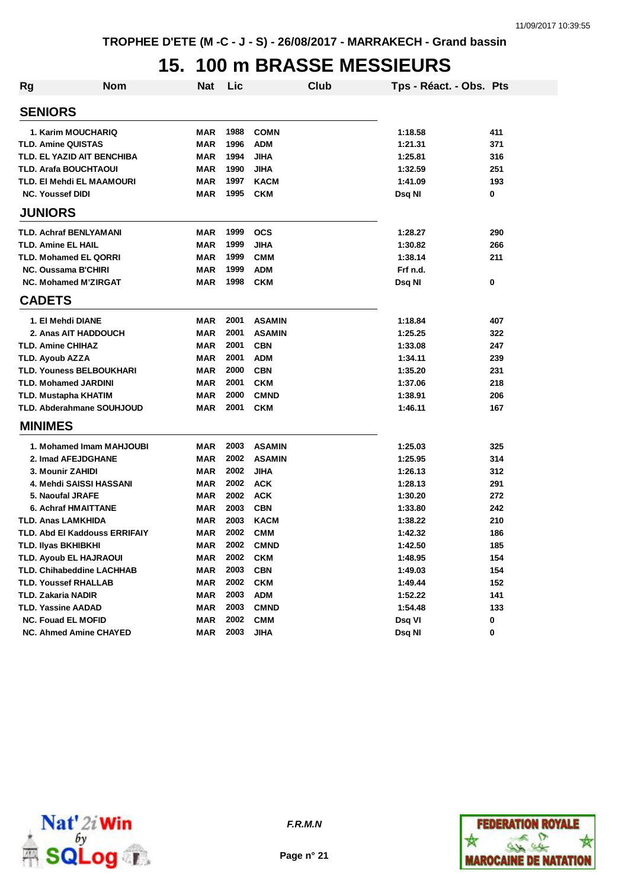# **15. 100 m BRASSE MESSIEURS**

| Rg                                   | <b>Nom</b> | Nat        | Lic  |               | Club |          | Tps - Réact. - Obs. Pts |     |
|--------------------------------------|------------|------------|------|---------------|------|----------|-------------------------|-----|
| <b>SENIORS</b>                       |            |            |      |               |      |          |                         |     |
| 1. Karim MOUCHARIQ                   |            | MAR        | 1988 | <b>COMN</b>   |      | 1:18.58  |                         | 411 |
| <b>TLD. Amine QUISTAS</b>            |            | MAR        | 1996 | <b>ADM</b>    |      | 1:21.31  |                         | 371 |
| TLD. EL YAZID AIT BENCHIBA           |            | <b>MAR</b> | 1994 | <b>JIHA</b>   |      | 1:25.81  |                         | 316 |
| <b>TLD. Arafa BOUCHTAOUI</b>         |            | <b>MAR</b> | 1990 | <b>JIHA</b>   |      | 1:32.59  |                         | 251 |
| TLD. EI Mehdi EL MAAMOURI            |            | <b>MAR</b> | 1997 | <b>KACM</b>   |      | 1:41.09  |                         | 193 |
| <b>NC. Youssef DIDI</b>              |            | <b>MAR</b> | 1995 | <b>CKM</b>    |      | Dsq Nl   |                         | 0   |
| <b>JUNIORS</b>                       |            |            |      |               |      |          |                         |     |
| <b>TLD. Achraf BENLYAMANI</b>        |            | MAR        | 1999 | <b>OCS</b>    |      | 1:28.27  |                         | 290 |
| <b>TLD. Amine EL HAIL</b>            |            | <b>MAR</b> | 1999 | <b>JIHA</b>   |      | 1:30.82  |                         | 266 |
| <b>TLD. Mohamed EL QORRI</b>         |            | <b>MAR</b> | 1999 | <b>CMM</b>    |      | 1:38.14  |                         | 211 |
| <b>NC. Oussama B'CHIRI</b>           |            | <b>MAR</b> | 1999 | <b>ADM</b>    |      | Frf n.d. |                         |     |
| <b>NC. Mohamed M'ZIRGAT</b>          |            | <b>MAR</b> | 1998 | <b>CKM</b>    |      | Dsq Nl   |                         | 0   |
| <b>CADETS</b>                        |            |            |      |               |      |          |                         |     |
| 1. El Mehdi DIANE                    |            | <b>MAR</b> | 2001 | <b>ASAMIN</b> |      | 1:18.84  |                         | 407 |
| 2. Anas AIT HADDOUCH                 |            | <b>MAR</b> | 2001 | <b>ASAMIN</b> |      | 1:25.25  |                         | 322 |
| <b>TLD. Amine CHIHAZ</b>             |            | <b>MAR</b> | 2001 | <b>CBN</b>    |      | 1:33.08  |                         | 247 |
| TLD. Ayoub AZZA                      |            | <b>MAR</b> | 2001 | <b>ADM</b>    |      | 1:34.11  |                         | 239 |
| <b>TLD. Youness BELBOUKHARI</b>      |            | <b>MAR</b> | 2000 | <b>CBN</b>    |      | 1:35.20  |                         | 231 |
| <b>TLD. Mohamed JARDINI</b>          |            | <b>MAR</b> | 2001 | <b>CKM</b>    |      | 1:37.06  |                         | 218 |
| TLD. Mustapha KHATIM                 |            | <b>MAR</b> | 2000 | <b>CMND</b>   |      | 1:38.91  |                         | 206 |
| <b>TLD. Abderahmane SOUHJOUD</b>     |            | <b>MAR</b> | 2001 | <b>CKM</b>    |      | 1:46.11  |                         | 167 |
| <b>MINIMES</b>                       |            |            |      |               |      |          |                         |     |
| 1. Mohamed Imam MAHJOUBI             |            | <b>MAR</b> | 2003 | <b>ASAMIN</b> |      | 1:25.03  |                         | 325 |
| 2. Imad AFEJDGHANE                   |            | <b>MAR</b> | 2002 | <b>ASAMIN</b> |      | 1:25.95  |                         | 314 |
| 3. Mounir ZAHIDI                     |            | <b>MAR</b> | 2002 | <b>JIHA</b>   |      | 1:26.13  |                         | 312 |
| 4. Mehdi SAISSI HASSANI              |            | MAR        | 2002 | <b>ACK</b>    |      | 1:28.13  |                         | 291 |
| 5. Naoufal JRAFE                     |            | <b>MAR</b> | 2002 | <b>ACK</b>    |      | 1:30.20  |                         | 272 |
| 6. Achraf HMAITTANE                  |            | <b>MAR</b> | 2003 | <b>CBN</b>    |      | 1:33.80  |                         | 242 |
| <b>TLD. Anas LAMKHIDA</b>            |            | <b>MAR</b> | 2003 | <b>KACM</b>   |      | 1:38.22  |                         | 210 |
| <b>TLD. Abd El Kaddouss ERRIFAIY</b> |            | MAR        | 2002 | <b>CMM</b>    |      | 1:42.32  |                         | 186 |
| TLD. Ilyas BKHIBKHI                  |            | <b>MAR</b> | 2002 | <b>CMND</b>   |      | 1:42.50  |                         | 185 |
| <b>TLD. Ayoub EL HAJRAOUI</b>        |            | MAR        | 2002 | <b>CKM</b>    |      | 1:48.95  |                         | 154 |
| <b>TLD. Chihabeddine LACHHAB</b>     |            | <b>MAR</b> | 2003 | <b>CBN</b>    |      | 1:49.03  |                         | 154 |
| <b>TLD. Youssef RHALLAB</b>          |            | <b>MAR</b> | 2002 | <b>CKM</b>    |      | 1:49.44  |                         | 152 |
| <b>TLD. Zakaria NADIR</b>            |            | <b>MAR</b> | 2003 | <b>ADM</b>    |      | 1:52.22  |                         | 141 |
| <b>TLD. Yassine AADAD</b>            |            | <b>MAR</b> | 2003 | <b>CMND</b>   |      | 1:54.48  |                         | 133 |
| <b>NC. Fouad EL MOFID</b>            |            | <b>MAR</b> | 2002 | <b>CMM</b>    |      | Dsq VI   |                         | 0   |
| <b>NC. Ahmed Amine CHAYED</b>        |            | <b>MAR</b> | 2003 | <b>JIHA</b>   |      | Dsq NI   |                         | 0   |



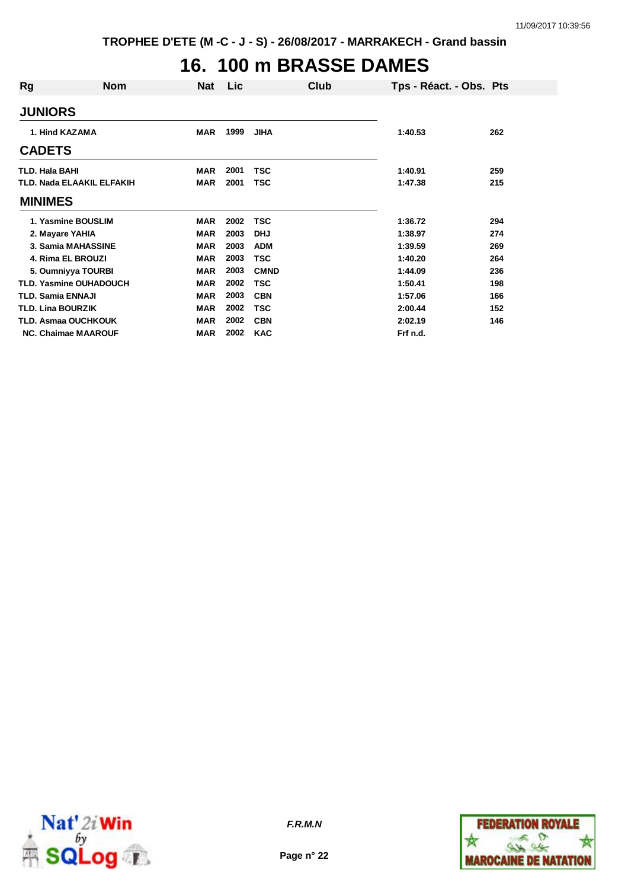# **16. 100 m BRASSE DAMES**

| Rg                       | <b>Nom</b>                       | <b>Nat</b> | <b>Lic</b> |             | Club | Tps - Réact. - Obs. Pts |     |
|--------------------------|----------------------------------|------------|------------|-------------|------|-------------------------|-----|
| <b>JUNIORS</b>           |                                  |            |            |             |      |                         |     |
| 1. Hind KAZAMA           |                                  | <b>MAR</b> | 1999       | <b>JIHA</b> |      | 1:40.53                 | 262 |
| <b>CADETS</b>            |                                  |            |            |             |      |                         |     |
| TLD. Hala BAHI           |                                  | MAR        | 2001       | <b>TSC</b>  |      | 1:40.91                 | 259 |
|                          | <b>TLD. Nada ELAAKIL ELFAKIH</b> | <b>MAR</b> | 2001       | TSC         |      | 1:47.38                 | 215 |
| <b>MINIMES</b>           |                                  |            |            |             |      |                         |     |
|                          | 1. Yasmine BOUSLIM               | <b>MAR</b> | 2002       | <b>TSC</b>  |      | 1:36.72                 | 294 |
| 2. Mayare YAHIA          |                                  | <b>MAR</b> | 2003       | <b>DHJ</b>  |      | 1:38.97                 | 274 |
|                          | 3. Samia MAHASSINE               | <b>MAR</b> | 2003       | <b>ADM</b>  |      | 1:39.59                 | 269 |
|                          | 4. Rima EL BROUZI                | <b>MAR</b> | 2003       | <b>TSC</b>  |      | 1:40.20                 | 264 |
|                          | 5. Oumniyya TOURBI               | <b>MAR</b> | 2003       | <b>CMND</b> |      | 1:44.09                 | 236 |
|                          | TLD. Yasmine OUHADOUCH           | <b>MAR</b> | 2002       | <b>TSC</b>  |      | 1:50.41                 | 198 |
| TLD. Samia ENNAJI        |                                  | <b>MAR</b> | 2003       | <b>CBN</b>  |      | 1:57.06                 | 166 |
| <b>TLD. Lina BOURZIK</b> |                                  | <b>MAR</b> | 2002       | TSC         |      | 2:00.44                 | 152 |
|                          | TLD. Asmaa OUCHKOUK              | <b>MAR</b> | 2002       | <b>CBN</b>  |      | 2:02.19                 | 146 |
|                          | <b>NC. Chaimae MAAROUF</b>       | <b>MAR</b> | 2002       | <b>KAC</b>  |      | Frf n.d.                |     |



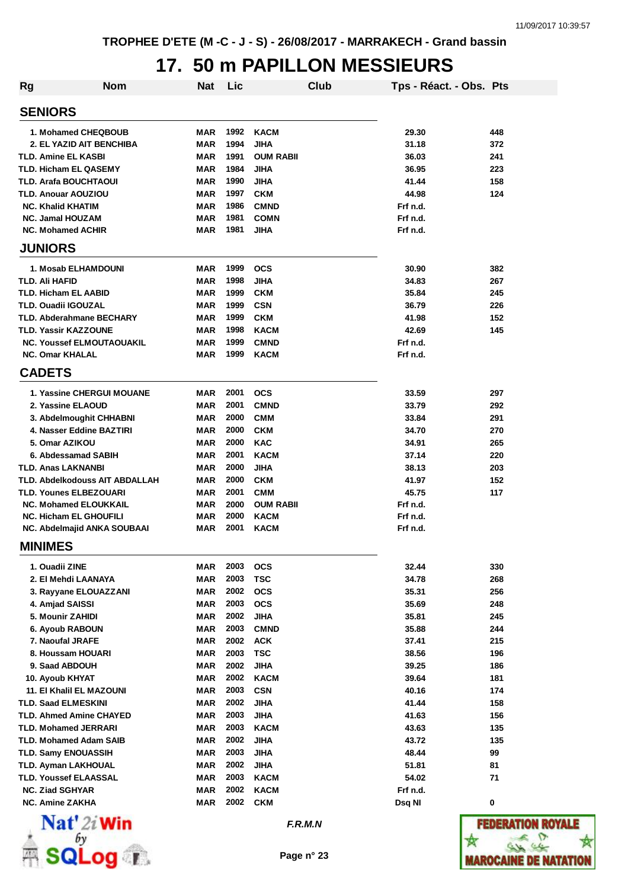# **17. 50 m PAPILLON MESSIEURS**

| <b>Rg</b> | <b>Nom</b>                       | <b>Nat</b> | Lic  |                  | Club | Tps - Réact. - Obs. Pts |     |
|-----------|----------------------------------|------------|------|------------------|------|-------------------------|-----|
|           | <b>SENIORS</b>                   |            |      |                  |      |                         |     |
|           | 1. Mohamed CHEQBOUB              | MAR        | 1992 | <b>KACM</b>      |      | 29.30                   | 448 |
|           | 2. EL YAZID AIT BENCHIBA         | MAR        | 1994 | <b>JIHA</b>      |      | 31.18                   | 372 |
|           | <b>TLD. Amine EL KASBI</b>       | MAR        | 1991 | <b>OUM RABII</b> |      | 36.03                   | 241 |
|           | <b>TLD. Hicham EL QASEMY</b>     | MAR        | 1984 | <b>JIHA</b>      |      | 36.95                   | 223 |
|           | <b>TLD. Arafa BOUCHTAOUI</b>     | MAR        | 1990 | <b>JIHA</b>      |      | 41.44                   | 158 |
|           | <b>TLD. Anouar AOUZIOU</b>       | MAR        | 1997 | <b>CKM</b>       |      | 44.98                   | 124 |
|           | <b>NC. Khalid KHATIM</b>         | MAR        | 1986 | <b>CMND</b>      |      | Frf n.d.                |     |
|           | <b>NC. Jamal HOUZAM</b>          | <b>MAR</b> | 1981 | <b>COMN</b>      |      | Frf n.d.                |     |
|           | <b>NC. Mohamed ACHIR</b>         | MAR        | 1981 | JIHA             |      | Frf n.d.                |     |
|           | <b>JUNIORS</b>                   |            |      |                  |      |                         |     |
|           | 1. Mosab ELHAMDOUNI              | MAR        | 1999 | <b>OCS</b>       |      | 30.90                   | 382 |
|           | TLD. Ali HAFID                   | MAR        | 1998 | JIHA             |      | 34.83                   | 267 |
|           | TLD. Hicham EL AABID             | MAR        | 1999 | <b>CKM</b>       |      | 35.84                   | 245 |
|           | <b>TLD. Ouadii IGOUZAL</b>       | MAR        | 1999 | <b>CSN</b>       |      | 36.79                   | 226 |
|           | <b>TLD. Abderahmane BECHARY</b>  | MAR        | 1999 | <b>CKM</b>       |      | 41.98                   | 152 |
|           | TLD. Yassir KAZZOUNE             | <b>MAR</b> | 1998 | <b>KACM</b>      |      | 42.69                   | 145 |
|           | <b>NC. Youssef ELMOUTAOUAKIL</b> | <b>MAR</b> | 1999 | <b>CMND</b>      |      | Frf n.d.                |     |
|           | <b>NC. Omar KHALAL</b>           | MAR        | 1999 | <b>KACM</b>      |      | Frf n.d.                |     |
|           | <b>CADETS</b>                    |            |      |                  |      |                         |     |
|           | <b>1. Yassine CHERGUI MOUANE</b> | MAR        | 2001 | ocs              |      | 33.59                   | 297 |
|           | 2. Yassine ELAOUD                | MAR        | 2001 | <b>CMND</b>      |      | 33.79                   | 292 |
|           | 3. Abdelmoughit CHHABNI          | MAR        | 2000 | <b>CMM</b>       |      | 33.84                   | 291 |
|           | 4. Nasser Eddine BAZTIRI         | MAR        | 2000 | <b>CKM</b>       |      | 34.70                   | 270 |
|           | 5. Omar AZIKOU                   | MAR        | 2000 | <b>KAC</b>       |      | 34.91                   | 265 |
|           | 6. Abdessamad SABIH              | MAR        | 2001 | <b>KACM</b>      |      | 37.14                   | 220 |
|           | <b>TLD. Anas LAKNANBI</b>        | MAR        | 2000 | JIHA             |      | 38.13                   | 203 |
|           | TLD. Abdelkodouss AIT ABDALLAH   | MAR        | 2000 | <b>CKM</b>       |      | 41.97                   | 152 |
|           | <b>TLD. Younes ELBEZOUARI</b>    | <b>MAR</b> | 2001 | <b>CMM</b>       |      | 45.75                   | 117 |
|           | <b>NC. Mohamed ELOUKKAIL</b>     | MAR        | 2000 | <b>OUM RABII</b> |      | Frf n.d.                |     |
|           | <b>NC. Hicham EL GHOUFILI</b>    | MAR        | 2000 | <b>KACM</b>      |      | Frf n.d.                |     |
|           | NC. Abdelmajid ANKA SOUBAAI      | MAR        | 2001 | <b>KACM</b>      |      | Frf n.d.                |     |
|           | <b>MINIMES</b>                   |            |      |                  |      |                         |     |
|           | 1. Ouadii ZINE                   | <b>MAR</b> | 2003 | <b>OCS</b>       |      | 32.44                   | 330 |
|           | 2. El Mehdi LAANAYA              | <b>MAR</b> | 2003 | <b>TSC</b>       |      | 34.78                   | 268 |
|           | 3. Rayyane ELOUAZZANI            | <b>MAR</b> | 2002 | <b>OCS</b>       |      | 35.31                   | 256 |
|           | 4. Amjad SAISSI                  | MAR        | 2003 | <b>OCS</b>       |      | 35.69                   | 248 |
|           | 5. Mounir ZAHIDI                 | MAR        | 2002 | JIHA             |      | 35.81                   | 245 |
|           | 6. Ayoub RABOUN                  | MAR        | 2003 | <b>CMND</b>      |      | 35.88                   | 244 |
|           | 7. Naoufal JRAFE                 | <b>MAR</b> | 2002 | <b>ACK</b>       |      | 37.41                   | 215 |
|           | 8. Houssam HOUARI                | <b>MAR</b> | 2003 | <b>TSC</b>       |      | 38.56                   | 196 |
|           | 9. Saad ABDOUH                   | <b>MAR</b> | 2002 | JIHA             |      | 39.25                   | 186 |
|           | 10. Ayoub KHYAT                  | <b>MAR</b> | 2002 | <b>KACM</b>      |      | 39.64                   | 181 |
|           | <b>11. El Khalil EL MAZOUNI</b>  | MAR        | 2003 | <b>CSN</b>       |      | 40.16                   | 174 |
|           | <b>TLD. Saad ELMESKINI</b>       | <b>MAR</b> | 2002 | <b>JIHA</b>      |      | 41.44                   | 158 |
|           | <b>TLD. Ahmed Amine CHAYED</b>   | MAR        | 2003 | <b>JIHA</b>      |      | 41.63                   | 156 |
|           | <b>TLD. Mohamed JERRARI</b>      | <b>MAR</b> | 2003 | <b>KACM</b>      |      | 43.63                   | 135 |
|           | <b>TLD. Mohamed Adam SAIB</b>    | <b>MAR</b> | 2002 | <b>JIHA</b>      |      | 43.72                   | 135 |
|           | <b>TLD. Samy ENOUASSIH</b>       | MAR        | 2003 | <b>JIHA</b>      |      | 48.44                   | 99  |
|           | <b>TLD. Ayman LAKHOUAL</b>       | MAR        | 2002 | JIHA             |      | 51.81                   | 81  |
|           | <b>TLD. Youssef ELAASSAL</b>     | MAR        | 2003 | KACM             |      | 54.02                   | 71  |
|           | <b>NC. Ziad SGHYAR</b>           | MAR        | 2002 | <b>KACM</b>      |      | Frf n.d.                |     |
|           | <b>NC. Amine ZAKHA</b>           | MAR        | 2002 | <b>CKM</b>       |      | Dsq NI                  | 0   |
|           | $N = 4!$ $\approx$ 1442          |            |      |                  |      |                         |     |



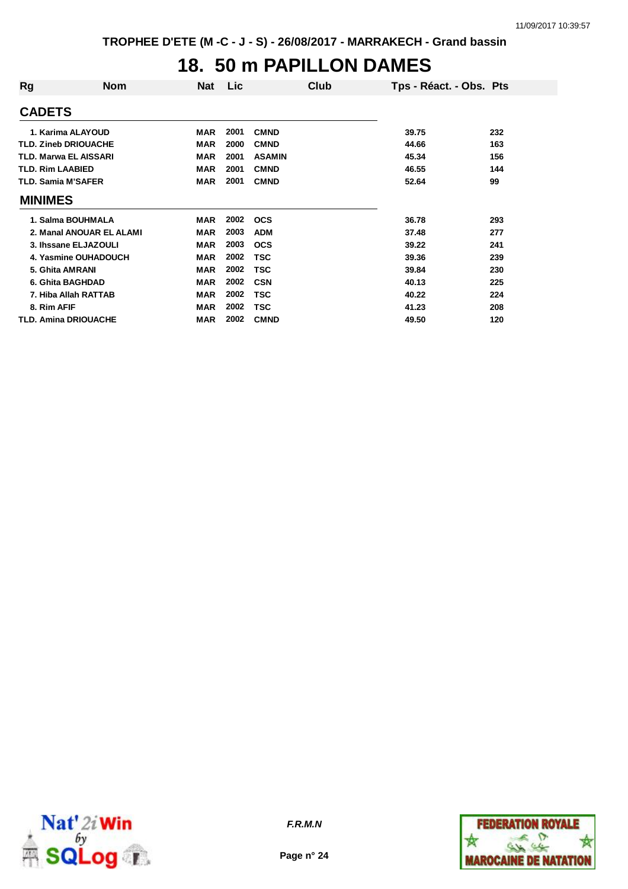### **18. 50 m PAPILLON DAMES**

| Rg                           | <b>Nom</b>                  | <b>Nat</b> | Lic  | Club          | Tps - Réact. - Obs. Pts |     |
|------------------------------|-----------------------------|------------|------|---------------|-------------------------|-----|
| <b>CADETS</b>                |                             |            |      |               |                         |     |
|                              | 1. Karima ALAYOUD           | MAR        | 2001 | <b>CMND</b>   | 39.75                   | 232 |
| <b>TLD. Zineb DRIOUACHE</b>  |                             | <b>MAR</b> | 2000 | <b>CMND</b>   | 44.66                   | 163 |
| <b>TLD. Marwa EL AISSARI</b> |                             | <b>MAR</b> | 2001 | <b>ASAMIN</b> | 45.34                   | 156 |
| <b>TLD. Rim LAABIED</b>      |                             | <b>MAR</b> | 2001 | <b>CMND</b>   | 46.55                   | 144 |
| <b>TLD. Samia M'SAFER</b>    |                             | <b>MAR</b> | 2001 | <b>CMND</b>   | 52.64                   | 99  |
| <b>MINIMES</b>               |                             |            |      |               |                         |     |
|                              | 1. Salma BOUHMALA           | MAR        | 2002 | <b>OCS</b>    | 36.78                   | 293 |
|                              | 2. Manal ANOUAR EL ALAMI    | MAR        | 2003 | <b>ADM</b>    | 37.48                   | 277 |
|                              | 3. Ihssane ELJAZOULI        | <b>MAR</b> | 2003 | <b>OCS</b>    | 39.22                   | 241 |
|                              | 4. Yasmine OUHADOUCH        | <b>MAR</b> | 2002 | TSC           | 39.36                   | 239 |
| 5. Ghita AMRANI              |                             | <b>MAR</b> | 2002 | TSC           | 39.84                   | 230 |
|                              | 6. Ghita BAGHDAD            | <b>MAR</b> | 2002 | <b>CSN</b>    | 40.13                   | 225 |
|                              | 7. Hiba Allah RATTAB        | <b>MAR</b> | 2002 | TSC           | 40.22                   | 224 |
| 8. Rim AFIF                  |                             | <b>MAR</b> | 2002 | TSC           | 41.23                   | 208 |
|                              | <b>TLD. Amina DRIOUACHE</b> | MAR        | 2002 | <b>CMND</b>   | 49.50                   | 120 |



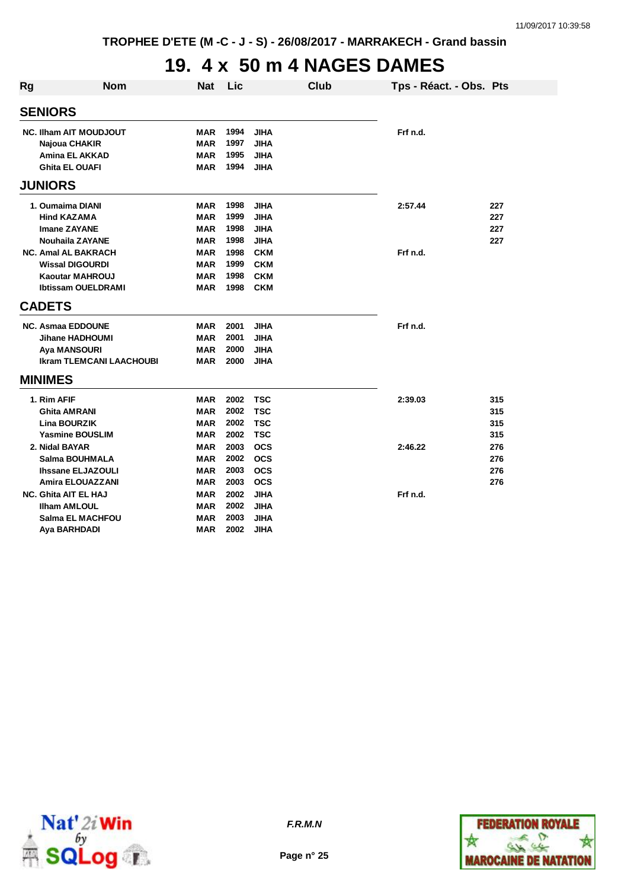### **19. 4 x 50 m 4 NAGES DAMES**

| Rg                            | <b>Nom</b>                             | <b>Nat</b>               | Lic          |                            | Club | Tps - Réact. - Obs. Pts |     |
|-------------------------------|----------------------------------------|--------------------------|--------------|----------------------------|------|-------------------------|-----|
|                               | <b>SENIORS</b>                         |                          |              |                            |      |                         |     |
| <b>NC. Ilham AIT MOUDJOUT</b> |                                        | <b>MAR</b>               | 1994<br>1997 | <b>JIHA</b><br><b>JIHA</b> |      | Frf n.d.                |     |
|                               | Najoua CHAKIR<br><b>Amina EL AKKAD</b> | <b>MAR</b><br><b>MAR</b> | 1995         | <b>JIHA</b>                |      |                         |     |
|                               | <b>Ghita EL OUAFI</b>                  | <b>MAR</b>               | 1994         | <b>JIHA</b>                |      |                         |     |
|                               | <b>JUNIORS</b>                         |                          |              |                            |      |                         |     |
|                               | 1. Oumaima DIANI                       | <b>MAR</b>               | 1998         | <b>JIHA</b>                |      | 2:57.44                 | 227 |
|                               | <b>Hind KAZAMA</b>                     | <b>MAR</b>               | 1999         | <b>JIHA</b>                |      |                         | 227 |
|                               | <b>Imane ZAYANE</b>                    | <b>MAR</b>               | 1998         | <b>JIHA</b>                |      |                         | 227 |
|                               | <b>Nouhaila ZAYANE</b>                 | <b>MAR</b>               | 1998         | <b>JIHA</b>                |      |                         | 227 |
|                               | <b>NC. Amal AL BAKRACH</b>             | <b>MAR</b>               | 1998         | <b>CKM</b>                 |      | Frf n.d.                |     |
|                               | <b>Wissal DIGOURDI</b>                 | <b>MAR</b>               | 1999         | <b>CKM</b>                 |      |                         |     |
|                               | <b>Kaoutar MAHROUJ</b>                 | <b>MAR</b>               | 1998         | <b>CKM</b>                 |      |                         |     |
|                               | <b>Ibtissam OUELDRAMI</b>              | <b>MAR</b>               | 1998         | <b>CKM</b>                 |      |                         |     |
|                               | <b>CADETS</b>                          |                          |              |                            |      |                         |     |
|                               | <b>NC. Asmaa EDDOUNE</b>               | <b>MAR</b>               | 2001         | <b>JIHA</b>                |      | Frf n.d.                |     |
|                               | Jihane HADHOUMI                        | <b>MAR</b>               | 2001         | <b>JIHA</b>                |      |                         |     |
|                               | <b>Aya MANSOURI</b>                    | MAR                      | 2000         | <b>JIHA</b>                |      |                         |     |
|                               | <b>Ikram TLEMCANI LAACHOUBI</b>        | <b>MAR</b>               | 2000         | <b>JIHA</b>                |      |                         |     |
|                               | <b>MINIMES</b>                         |                          |              |                            |      |                         |     |
|                               | 1. Rim AFIF                            | MAR                      | 2002         | <b>TSC</b>                 |      | 2:39.03                 | 315 |
|                               | <b>Ghita AMRANI</b>                    | <b>MAR</b>               | 2002         | <b>TSC</b>                 |      |                         | 315 |
|                               | <b>Lina BOURZIK</b>                    | MAR                      | 2002         | <b>TSC</b>                 |      |                         | 315 |
|                               | <b>Yasmine BOUSLIM</b>                 | <b>MAR</b>               | 2002         | <b>TSC</b>                 |      |                         | 315 |
|                               | 2. Nidal BAYAR                         | <b>MAR</b>               | 2003         | <b>OCS</b>                 |      | 2:46.22                 | 276 |
|                               | Salma BOUHMALA                         | <b>MAR</b>               | 2002         | <b>OCS</b>                 |      |                         | 276 |
|                               | <b>Ihssane ELJAZOULI</b>               | <b>MAR</b>               | 2003         | <b>OCS</b>                 |      |                         | 276 |
|                               | <b>Amira ELOUAZZANI</b>                | <b>MAR</b>               | 2003         | <b>OCS</b>                 |      |                         | 276 |
|                               | <b>NC. Ghita AIT EL HAJ</b>            | <b>MAR</b>               | 2002         | <b>JIHA</b>                |      | Frf n.d.                |     |
|                               | <b>Ilham AMLOUL</b>                    | <b>MAR</b>               | 2002         | <b>JIHA</b>                |      |                         |     |
|                               | <b>Salma EL MACHFOU</b>                | <b>MAR</b>               | 2003         | <b>JIHA</b>                |      |                         |     |
|                               | Aya BARHDADI                           | <b>MAR</b>               | 2002         | <b>JIHA</b>                |      |                         |     |



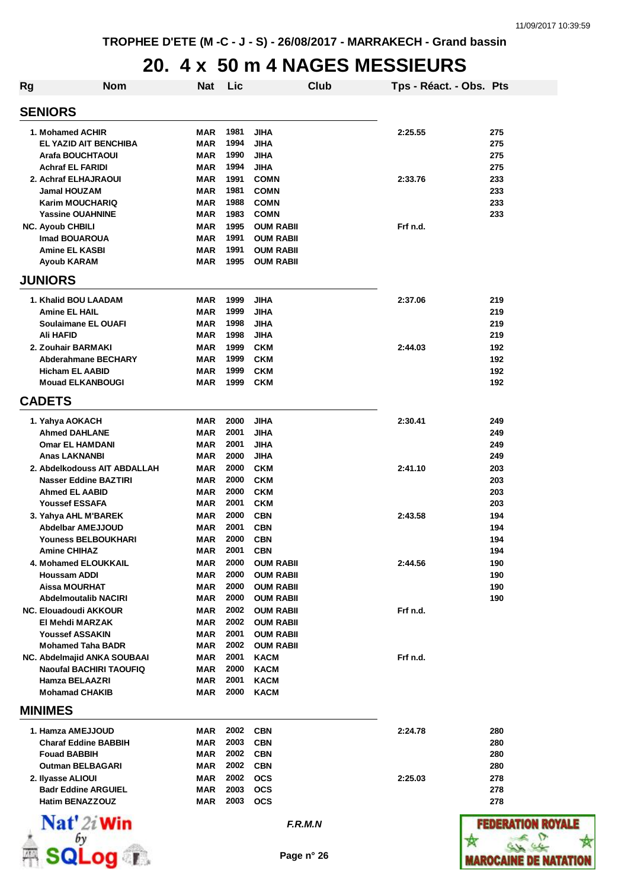#### **20. 4 x 50 m 4 NAGES MESSIEURS**

| Rg                                                     | <b>Nom</b>                     | <b>Nat</b>               | Lic          |                                      | Club    | Tps - Réact. - Obs. Pts |            |
|--------------------------------------------------------|--------------------------------|--------------------------|--------------|--------------------------------------|---------|-------------------------|------------|
| <b>SENIORS</b>                                         |                                |                          |              |                                      |         |                         |            |
| 1. Mohamed ACHIR                                       |                                | MAR                      | 1981         | <b>JIHA</b>                          |         | 2:25.55                 | 275        |
| EL YAZID AIT BENCHIBA                                  |                                | MAR                      | 1994         | <b>JIHA</b>                          |         |                         | 275        |
| Arafa BOUCHTAOUI                                       |                                | MAR                      | 1990         | JIHA                                 |         |                         | 275        |
| <b>Achraf EL FARIDI</b>                                |                                | <b>MAR</b>               | 1994         | <b>JIHA</b>                          |         |                         | 275        |
| 2. Achraf ELHAJRAOUI                                   |                                | MAR                      | 1991         | <b>COMN</b>                          |         | 2:33.76                 | 233        |
| <b>Jamal HOUZAM</b>                                    |                                | MAR                      | 1981         | <b>COMN</b>                          |         |                         | 233        |
| <b>Karim MOUCHARIQ</b>                                 |                                | MAR                      | 1988         | <b>COMN</b>                          |         |                         | 233        |
| <b>Yassine OUAHNINE</b>                                |                                | <b>MAR</b>               | 1983         | <b>COMN</b>                          |         |                         | 233        |
| <b>NC. Ayoub CHBILI</b>                                |                                | <b>MAR</b>               | 1995         | <b>OUM RABII</b>                     |         | Frf n.d.                |            |
| Imad BOUAROUA<br><b>Amine EL KASBI</b>                 |                                | <b>MAR</b><br><b>MAR</b> | 1991<br>1991 | <b>OUM RABII</b><br><b>OUM RABII</b> |         |                         |            |
| Ayoub KARAM                                            |                                | <b>MAR</b>               | 1995         | <b>OUM RABII</b>                     |         |                         |            |
| <b>JUNIORS</b>                                         |                                |                          |              |                                      |         |                         |            |
| 1. Khalid BOU LAADAM                                   |                                | MAR                      | 1999         | <b>JIHA</b>                          |         | 2:37.06                 | 219        |
| <b>Amine EL HAIL</b>                                   |                                | <b>MAR</b>               | 1999         | <b>JIHA</b>                          |         |                         | 219        |
| <b>Soulaimane EL OUAFI</b>                             |                                | MAR                      | 1998         | <b>JIHA</b>                          |         |                         | 219        |
| <b>Ali HAFID</b>                                       |                                | MAR                      | 1998         | <b>JIHA</b>                          |         |                         | 219        |
| 2. Zouhair BARMAKI                                     |                                | <b>MAR</b>               | 1999         | <b>CKM</b>                           |         | 2:44.03                 | 192        |
| <b>Abderahmane BECHARY</b>                             |                                | <b>MAR</b>               | 1999         | <b>CKM</b>                           |         |                         | 192        |
| <b>Hicham EL AABID</b>                                 |                                | <b>MAR</b>               | 1999         | <b>CKM</b>                           |         |                         | 192        |
| <b>Mouad ELKANBOUGI</b>                                |                                | MAR                      | 1999         | <b>CKM</b>                           |         |                         | 192        |
| <b>CADETS</b>                                          |                                |                          |              |                                      |         |                         |            |
| 1. Yahya AOKACH                                        |                                | MAR                      | 2000         | <b>JIHA</b>                          |         | 2:30.41                 | 249        |
| <b>Ahmed DAHLANE</b>                                   |                                | MAR                      | 2001         | <b>JIHA</b>                          |         |                         | 249        |
| <b>Omar EL HAMDANI</b>                                 |                                | MAR                      | 2001         | <b>JIHA</b>                          |         |                         | 249        |
| <b>Anas LAKNANBI</b>                                   |                                | MAR                      | 2000         | <b>JIHA</b>                          |         |                         | 249        |
|                                                        | 2. Abdelkodouss AIT ABDALLAH   | MAR                      | 2000         | <b>CKM</b>                           |         | 2:41.10                 | 203        |
| <b>Nasser Eddine BAZTIRI</b>                           |                                | <b>MAR</b>               | 2000         | <b>CKM</b>                           |         |                         | 203        |
| <b>Ahmed EL AABID</b>                                  |                                | MAR                      | 2000         | <b>CKM</b>                           |         |                         | 203        |
| <b>Youssef ESSAFA</b>                                  |                                | MAR                      | 2001         | <b>CKM</b>                           |         |                         | 203        |
| 3. Yahya AHL M'BAREK                                   |                                | MAR                      | 2000         | <b>CBN</b>                           |         | 2:43.58                 | 194        |
| <b>Abdelbar AMEJJOUD</b><br><b>Youness BELBOUKHARI</b> |                                | <b>MAR</b>               | 2001<br>2000 | <b>CBN</b>                           |         |                         | 194        |
| <b>Amine CHIHAZ</b>                                    |                                | MAR<br><b>MAR</b>        | 2001         | <b>CBN</b><br><b>CBN</b>             |         |                         | 194<br>194 |
| 4. Mohamed ELOUKKAIL                                   |                                | MAR                      | 2000         | <b>OUM RABII</b>                     |         | 2:44.56                 | 190        |
| <b>Houssam ADDI</b>                                    |                                | <b>MAR</b>               | 2000         | <b>OUM RABII</b>                     |         |                         | 190        |
| <b>Aissa MOURHAT</b>                                   |                                | MAR                      | 2000         | <b>OUM RABII</b>                     |         |                         | 190        |
| <b>Abdelmoutalib NACIRI</b>                            |                                | MAR                      | 2000         | <b>OUM RABII</b>                     |         |                         | 190        |
| NC. Elouadoudi AKKOUR                                  |                                | MAR                      | 2002         | <b>OUM RABII</b>                     |         | Frf n.d.                |            |
| El Mehdi MARZAK                                        |                                | <b>MAR</b>               | 2002         | <b>OUM RABII</b>                     |         |                         |            |
| <b>Youssef ASSAKIN</b>                                 |                                | MAR                      | 2001         | <b>OUM RABII</b>                     |         |                         |            |
| <b>Mohamed Taha BADR</b>                               |                                | MAR                      | 2002         | <b>OUM RABII</b>                     |         |                         |            |
| NC. Abdelmajid ANKA SOUBAAI                            |                                | <b>MAR</b>               | 2001         | <b>KACM</b>                          |         | Frf n.d.                |            |
|                                                        | <b>Naoufal BACHIRI TAOUFIQ</b> | MAR                      | 2000         | <b>KACM</b>                          |         |                         |            |
| Hamza BELAAZRI                                         |                                | MAR                      | 2001         | <b>KACM</b>                          |         |                         |            |
| <b>Mohamad CHAKIB</b>                                  |                                | <b>MAR</b>               | 2000         | <b>KACM</b>                          |         |                         |            |
| <b>MINIMES</b>                                         |                                |                          |              |                                      |         |                         |            |
| 1. Hamza AMEJJOUD                                      |                                | MAR                      | 2002         | <b>CBN</b>                           |         | 2:24.78                 | 280        |
| <b>Charaf Eddine BABBIH</b>                            |                                | MAR                      | 2003         | <b>CBN</b>                           |         |                         | 280        |
| <b>Fouad BABBIH</b>                                    |                                | MAR                      | 2002         | <b>CBN</b>                           |         |                         | 280        |
| <b>Outman BELBAGARI</b>                                |                                | MAR                      | 2002         | <b>CBN</b>                           |         |                         | 280        |
| 2. Ilyasse ALIOUI                                      |                                | <b>MAR</b>               | 2002         | <b>OCS</b>                           |         | 2:25.03                 | 278        |
| <b>Badr Eddine ARGUIEL</b>                             |                                | MAR                      | 2003         | <b>OCS</b>                           |         |                         | 278        |
| <b>Hatim BENAZZOUZ</b>                                 |                                | <b>MAR</b>               | 2003         | <b>OCS</b>                           |         |                         | 278        |
| $\mathbf{Nat}'$ 2i Win                                 |                                |                          |              |                                      | F.R.M.N |                         | FEDERATION |
|                                                        |                                |                          |              |                                      |         |                         |            |
|                                                        | SQLog r                        |                          |              | Page n° 26                           |         |                         | MAROCAINI  |